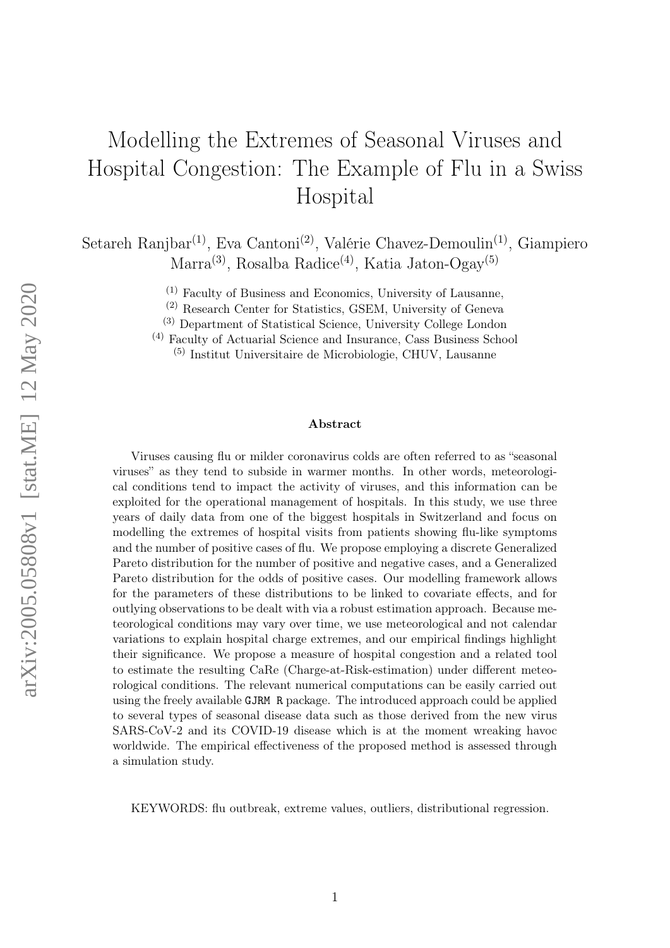# Modelling the Extremes of Seasonal Viruses and Hospital Congestion: The Example of Flu in a Swiss Hospital

Setareh Ranjbar<sup>(1)</sup>, Eva Cantoni<sup>(2)</sup>, Valérie Chavez-Demoulin<sup>(1)</sup>, Giampiero Marra<sup>(3)</sup>, Rosalba Radice<sup>(4)</sup>, Katia Jaton-Ogay<sup>(5)</sup>

(1) Faculty of Business and Economics, University of Lausanne,

(2) Research Center for Statistics, GSEM, University of Geneva

(3) Department of Statistical Science, University College London

(4) Faculty of Actuarial Science and Insurance, Cass Business School

(5) Institut Universitaire de Microbiologie, CHUV, Lausanne

#### Abstract

Viruses causing flu or milder coronavirus colds are often referred to as "seasonal viruses" as they tend to subside in warmer months. In other words, meteorological conditions tend to impact the activity of viruses, and this information can be exploited for the operational management of hospitals. In this study, we use three years of daily data from one of the biggest hospitals in Switzerland and focus on modelling the extremes of hospital visits from patients showing flu-like symptoms and the number of positive cases of flu. We propose employing a discrete Generalized Pareto distribution for the number of positive and negative cases, and a Generalized Pareto distribution for the odds of positive cases. Our modelling framework allows for the parameters of these distributions to be linked to covariate effects, and for outlying observations to be dealt with via a robust estimation approach. Because meteorological conditions may vary over time, we use meteorological and not calendar variations to explain hospital charge extremes, and our empirical findings highlight their significance. We propose a measure of hospital congestion and a related tool to estimate the resulting CaRe (Charge-at-Risk-estimation) under different meteorological conditions. The relevant numerical computations can be easily carried out using the freely available GJRM R package. The introduced approach could be applied to several types of seasonal disease data such as those derived from the new virus SARS-CoV-2 and its COVID-19 disease which is at the moment wreaking havoc worldwide. The empirical effectiveness of the proposed method is assessed through a simulation study.

KEYWORDS: flu outbreak, extreme values, outliers, distributional regression.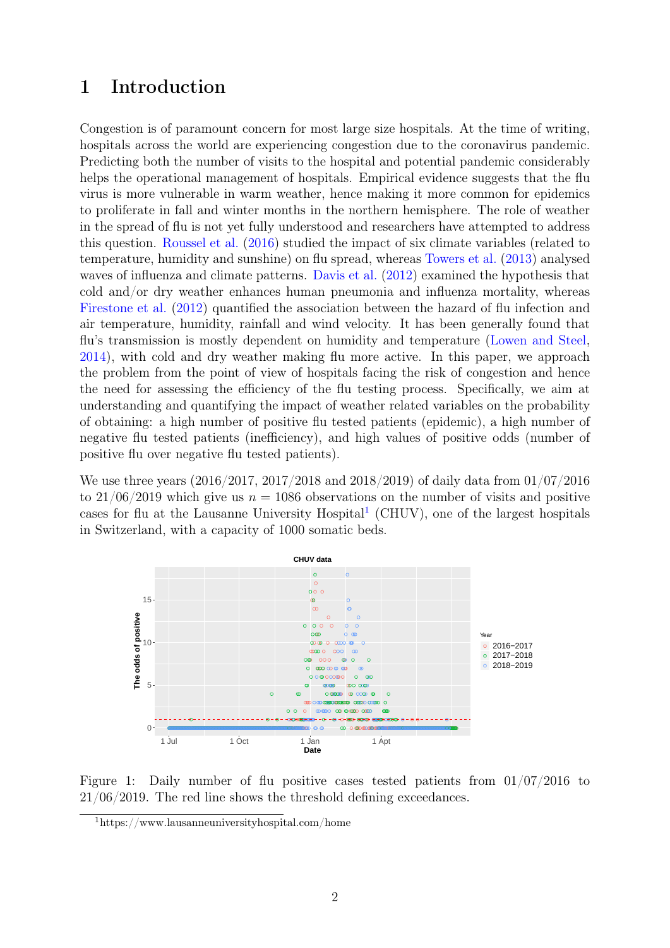## 1 Introduction

Congestion is of paramount concern for most large size hospitals. At the time of writing, hospitals across the world are experiencing congestion due to the coronavirus pandemic. Predicting both the number of visits to the hospital and potential pandemic considerably helps the operational management of hospitals. Empirical evidence suggests that the flu virus is more vulnerable in warm weather, hence making it more common for epidemics to proliferate in fall and winter months in the northern hemisphere. The role of weather in the spread of flu is not yet fully understood and researchers have attempted to address this question. [Roussel et al.](#page-27-0) [\(2016\)](#page-27-0) studied the impact of six climate variables (related to temperature, humidity and sunshine) on flu spread, whereas [Towers et al.](#page-27-1) [\(2013\)](#page-27-1) analysed waves of influenza and climate patterns. [Davis et al.](#page-26-0) [\(2012\)](#page-26-0) examined the hypothesis that cold and/or dry weather enhances human pneumonia and influenza mortality, whereas [Firestone et al.](#page-27-2) [\(2012\)](#page-27-2) quantified the association between the hazard of flu infection and air temperature, humidity, rainfall and wind velocity. It has been generally found that flu's transmission is mostly dependent on humidity and temperature [\(Lowen and Steel,](#page-27-3) [2014\)](#page-27-3), with cold and dry weather making flu more active. In this paper, we approach the problem from the point of view of hospitals facing the risk of congestion and hence the need for assessing the efficiency of the flu testing process. Specifically, we aim at understanding and quantifying the impact of weather related variables on the probability of obtaining: a high number of positive flu tested patients (epidemic), a high number of negative flu tested patients (inefficiency), and high values of positive odds (number of positive flu over negative flu tested patients).

We use three years (2016/2017, 2017/2018 and 2018/2019) of daily data from 01/07/2016 to  $21/06/2019$  which give us  $n = 1086$  observations on the number of visits and positive cases for flu at the Lausanne University Hospital<sup>[1](#page-1-0)</sup> (CHUV), one of the largest hospitals in Switzerland, with a capacity of 1000 somatic beds.



<span id="page-1-1"></span>Figure 1: Daily number of flu positive cases tested patients from 01/07/2016 to 21/06/2019. The red line shows the threshold defining exceedances.

<span id="page-1-0"></span><sup>1</sup>https://www.lausanneuniversityhospital.com/home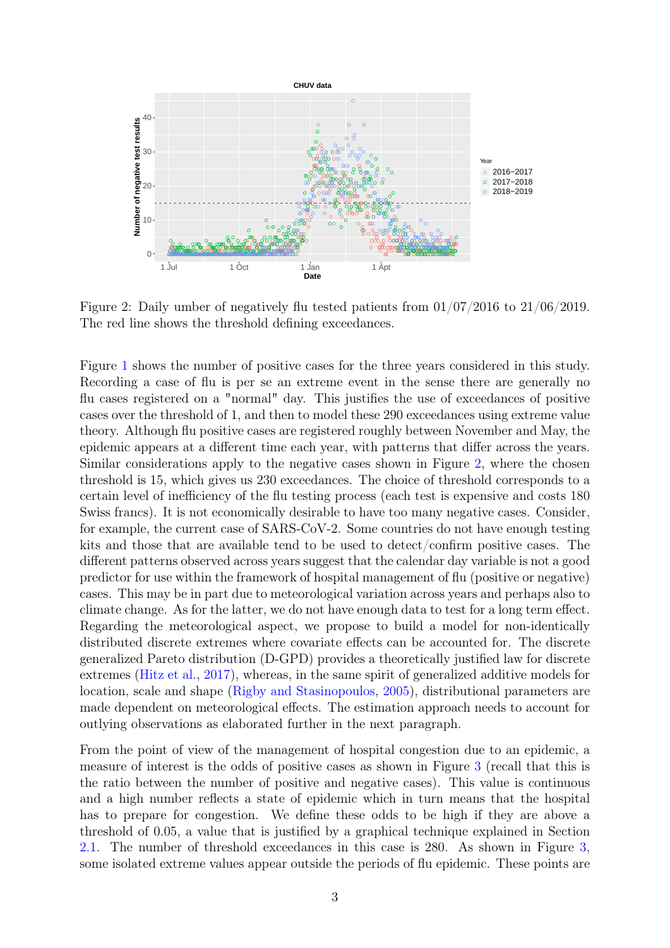

<span id="page-2-0"></span>Figure 2: Daily umber of negatively flu tested patients from 01/07/2016 to 21/06/2019. The red line shows the threshold defining exceedances.

Figure [1](#page-1-1) shows the number of positive cases for the three years considered in this study. Recording a case of flu is per se an extreme event in the sense there are generally no flu cases registered on a "normal" day. This justifies the use of exceedances of positive cases over the threshold of 1, and then to model these 290 exceedances using extreme value theory. Although flu positive cases are registered roughly between November and May, the epidemic appears at a different time each year, with patterns that differ across the years. Similar considerations apply to the negative cases shown in Figure [2,](#page-2-0) where the chosen threshold is 15, which gives us 230 exceedances. The choice of threshold corresponds to a certain level of inefficiency of the flu testing process (each test is expensive and costs 180 Swiss francs). It is not economically desirable to have too many negative cases. Consider, for example, the current case of SARS-CoV-2. Some countries do not have enough testing kits and those that are available tend to be used to detect/confirm positive cases. The different patterns observed across years suggest that the calendar day variable is not a good predictor for use within the framework of hospital management of flu (positive or negative) cases. This may be in part due to meteorological variation across years and perhaps also to climate change. As for the latter, we do not have enough data to test for a long term effect. Regarding the meteorological aspect, we propose to build a model for non-identically distributed discrete extremes where covariate effects can be accounted for. The discrete generalized Pareto distribution (D-GPD) provides a theoretically justified law for discrete extremes [\(Hitz et al.,](#page-27-4) [2017\)](#page-27-4), whereas, in the same spirit of generalized additive models for location, scale and shape [\(Rigby and Stasinopoulos,](#page-27-5) [2005\)](#page-27-5), distributional parameters are made dependent on meteorological effects. The estimation approach needs to account for outlying observations as elaborated further in the next paragraph.

From the point of view of the management of hospital congestion due to an epidemic, a measure of interest is the odds of positive cases as shown in Figure [3](#page-3-0) (recall that this is the ratio between the number of positive and negative cases). This value is continuous and a high number reflects a state of epidemic which in turn means that the hospital has to prepare for congestion. We define these odds to be high if they are above a threshold of 0.05, a value that is justified by a graphical technique explained in Section [2.1.](#page-4-0) The number of threshold exceedances in this case is 280. As shown in Figure [3,](#page-3-0) some isolated extreme values appear outside the periods of flu epidemic. These points are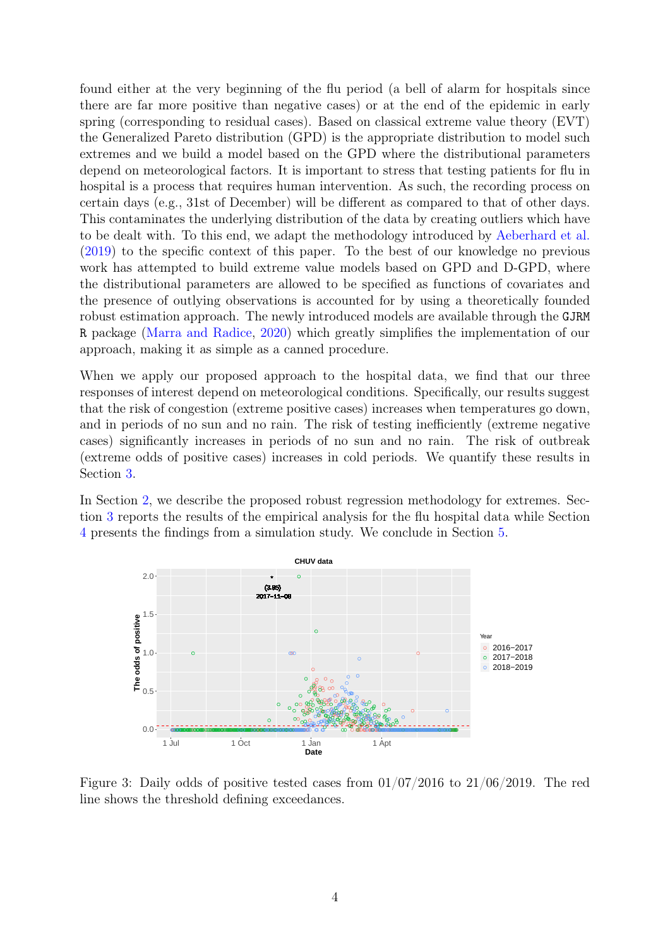found either at the very beginning of the flu period (a bell of alarm for hospitals since there are far more positive than negative cases) or at the end of the epidemic in early spring (corresponding to residual cases). Based on classical extreme value theory (EVT) the Generalized Pareto distribution (GPD) is the appropriate distribution to model such extremes and we build a model based on the GPD where the distributional parameters depend on meteorological factors. It is important to stress that testing patients for flu in hospital is a process that requires human intervention. As such, the recording process on certain days (e.g., 31st of December) will be different as compared to that of other days. This contaminates the underlying distribution of the data by creating outliers which have to be dealt with. To this end, we adapt the methodology introduced by [Aeberhard et al.](#page-26-1) [\(2019\)](#page-26-1) to the specific context of this paper. To the best of our knowledge no previous work has attempted to build extreme value models based on GPD and D-GPD, where the distributional parameters are allowed to be specified as functions of covariates and the presence of outlying observations is accounted for by using a theoretically founded robust estimation approach. The newly introduced models are available through the GJRM R package [\(Marra and Radice,](#page-27-6) [2020\)](#page-27-6) which greatly simplifies the implementation of our approach, making it as simple as a canned procedure.

When we apply our proposed approach to the hospital data, we find that our three responses of interest depend on meteorological conditions. Specifically, our results suggest that the risk of congestion (extreme positive cases) increases when temperatures go down, and in periods of no sun and no rain. The risk of testing inefficiently (extreme negative cases) significantly increases in periods of no sun and no rain. The risk of outbreak (extreme odds of positive cases) increases in cold periods. We quantify these results in Section [3.](#page-9-0)

In Section [2,](#page-4-1) we describe the proposed robust regression methodology for extremes. Section [3](#page-9-0) reports the results of the empirical analysis for the flu hospital data while Section [4](#page-20-0) presents the findings from a simulation study. We conclude in Section [5.](#page-26-2)



<span id="page-3-0"></span>Figure 3: Daily odds of positive tested cases from  $01/07/2016$  to  $21/06/2019$ . The red line shows the threshold defining exceedances.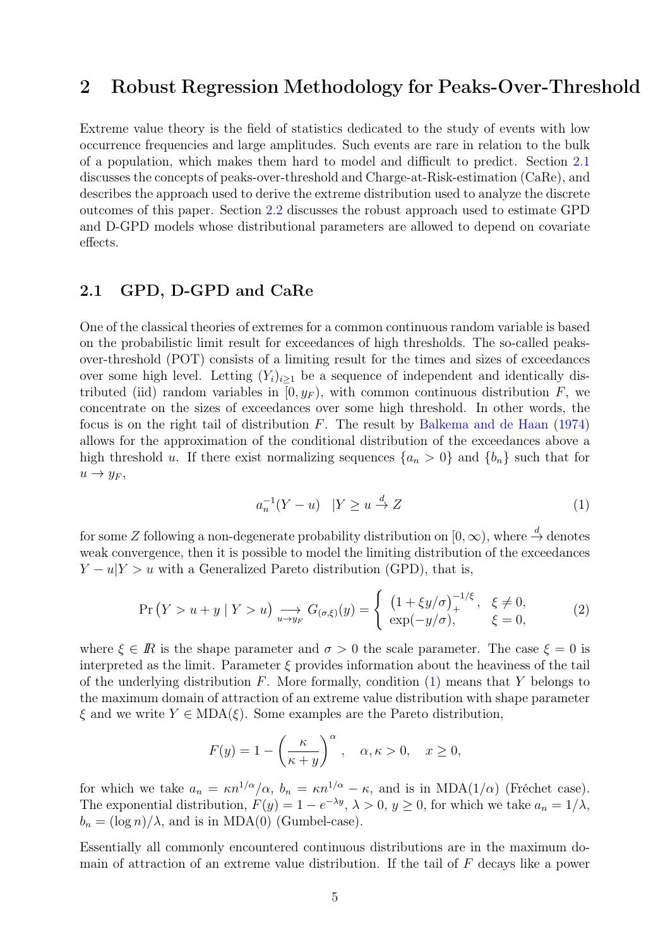### <span id="page-4-1"></span>2 Robust Regression Methodology for Peaks-Over-Threshold

Extreme value theory is the field of statistics dedicated to the study of events with low occurrence frequencies and large amplitudes. Such events are rare in relation to the bulk of a population, which makes them hard to model and difficult to predict. Section [2.1](#page-4-0) discusses the concepts of peaks-over-threshold and Charge-at-Risk-estimation (CaRe), and describes the approach used to derive the extreme distribution used to analyze the discrete outcomes of this paper. Section [2.2](#page-6-0) discusses the robust approach used to estimate GPD and D-GPD models whose distributional parameters are allowed to depend on covariate effects.

#### <span id="page-4-0"></span>2.1 GPD, D-GPD and CaRe

One of the classical theories of extremes for a common continuous random variable is based on the probabilistic limit result for exceedances of high thresholds. The so-called peaksover-threshold (POT) consists of a limiting result for the times and sizes of exceedances over some high level. Letting  $(Y_i)_{i>1}$  be a sequence of independent and identically distributed (iid) random variables in  $[0, y_F)$ , with common continuous distribution F, we concentrate on the sizes of exceedances over some high threshold. In other words, the focus is on the right tail of distribution  $F$ . The result by [Balkema and de Haan](#page-26-3) [\(1974\)](#page-26-3) allows for the approximation of the conditional distribution of the exceedances above a high threshold u. If there exist normalizing sequences  $\{a_n > 0\}$  and  $\{b_n\}$  such that for  $u \rightarrow y_F$ ,

<span id="page-4-2"></span>
$$
a_n^{-1}(Y - u) \quad |Y \ge u \stackrel{d}{\to} Z \tag{1}
$$

for some Z following a non-degenerate probability distribution on  $[0, \infty)$ , where  $\stackrel{d}{\rightarrow}$  denotes weak convergence, then it is possible to model the limiting distribution of the exceedances  $Y - u|Y > u$  with a Generalized Pareto distribution (GPD), that is,

<span id="page-4-3"></span>
$$
\Pr(Y > u + y | Y > u) \underset{u \to y_F}{\longrightarrow} G_{(\sigma,\xi)}(y) = \begin{cases} (1 + \xi y/\sigma)_{+}^{-1/\xi}, & \xi \neq 0, \\ \exp(-y/\sigma), & \xi = 0, \end{cases}
$$
 (2)

where  $\xi \in \mathbb{R}$  is the shape parameter and  $\sigma > 0$  the scale parameter. The case  $\xi = 0$  is interpreted as the limit. Parameter  $\xi$  provides information about the heaviness of the tail of the underlying distribution  $F$ . More formally, condition  $(1)$  means that Y belongs to the maximum domain of attraction of an extreme value distribution with shape parameter  $\xi$  and we write  $Y \in MDA(\xi)$ . Some examples are the Pareto distribution,

$$
F(y) = 1 - \left(\frac{\kappa}{\kappa + y}\right)^{\alpha}, \quad \alpha, \kappa > 0, \quad x \ge 0,
$$

for which we take  $a_n = \kappa n^{1/\alpha}/\alpha$ ,  $b_n = \kappa n^{1/\alpha} - \kappa$ , and is in MDA(1/ $\alpha$ ) (Fréchet case). The exponential distribution,  $F(y) = 1 - e^{-\lambda y}$ ,  $\lambda > 0$ ,  $y \ge 0$ , for which we take  $a_n = 1/\lambda$ ,  $b_n = (\log n)/\lambda$ , and is in MDA(0) (Gumbel-case).

Essentially all commonly encountered continuous distributions are in the maximum domain of attraction of an extreme value distribution. If the tail of  $F$  decays like a power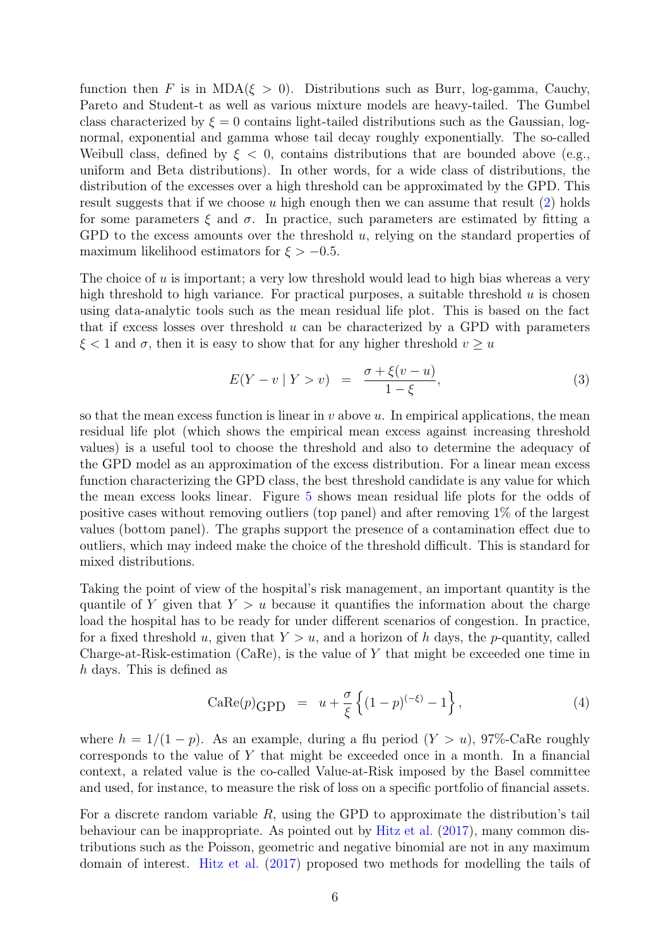function then F is in MDA( $\xi > 0$ ). Distributions such as Burr, log-gamma, Cauchy, Pareto and Student-t as well as various mixture models are heavy-tailed. The Gumbel class characterized by  $\xi = 0$  contains light-tailed distributions such as the Gaussian, lognormal, exponential and gamma whose tail decay roughly exponentially. The so-called Weibull class, defined by  $\xi < 0$ , contains distributions that are bounded above (e.g., uniform and Beta distributions). In other words, for a wide class of distributions, the distribution of the excesses over a high threshold can be approximated by the GPD. This result suggests that if we choose  $u$  high enough then we can assume that result  $(2)$  holds for some parameters  $\xi$  and  $\sigma$ . In practice, such parameters are estimated by fitting a GPD to the excess amounts over the threshold  $u$ , relying on the standard properties of maximum likelihood estimators for  $\xi > -0.5$ .

The choice of  $u$  is important; a very low threshold would lead to high bias whereas a very high threshold to high variance. For practical purposes, a suitable threshold  $u$  is chosen using data-analytic tools such as the mean residual life plot. This is based on the fact that if excess losses over threshold  $u$  can be characterized by a GPD with parameters  $\xi$  < 1 and  $\sigma$ , then it is easy to show that for any higher threshold  $v \geq u$ 

<span id="page-5-1"></span>
$$
E(Y - v \mid Y > v) = \frac{\sigma + \xi(v - u)}{1 - \xi}, \tag{3}
$$

so that the mean excess function is linear in  $v$  above  $u$ . In empirical applications, the mean residual life plot (which shows the empirical mean excess against increasing threshold values) is a useful tool to choose the threshold and also to determine the adequacy of the GPD model as an approximation of the excess distribution. For a linear mean excess function characterizing the GPD class, the best threshold candidate is any value for which the mean excess looks linear. Figure [5](#page-11-0) shows mean residual life plots for the odds of positive cases without removing outliers (top panel) and after removing 1% of the largest values (bottom panel). The graphs support the presence of a contamination effect due to outliers, which may indeed make the choice of the threshold difficult. This is standard for mixed distributions.

Taking the point of view of the hospital's risk management, an important quantity is the quantile of Y given that  $Y > u$  because it quantifies the information about the charge load the hospital has to be ready for under different scenarios of congestion. In practice, for a fixed threshold u, given that  $Y > u$ , and a horizon of h days, the p-quantity, called Charge-at-Risk-estimation  $(CaRe)$ , is the value of Y that might be exceeded one time in h days. This is defined as

<span id="page-5-0"></span>
$$
CaRe(p)_{\text{GPD}} = u + \frac{\sigma}{\xi} \left\{ (1-p)^{(-\xi)} - 1 \right\},\tag{4}
$$

where  $h = 1/(1 - p)$ . As an example, during a flu period  $(Y > u)$ , 97%-CaRe roughly corresponds to the value of  $Y$  that might be exceeded once in a month. In a financial context, a related value is the co-called Value-at-Risk imposed by the Basel committee and used, for instance, to measure the risk of loss on a specific portfolio of financial assets.

For a discrete random variable  $R$ , using the GPD to approximate the distribution's tail behaviour can be inappropriate. As pointed out by [Hitz et al.](#page-27-4) [\(2017\)](#page-27-4), many common distributions such as the Poisson, geometric and negative binomial are not in any maximum domain of interest. [Hitz et al.](#page-27-4) [\(2017\)](#page-27-4) proposed two methods for modelling the tails of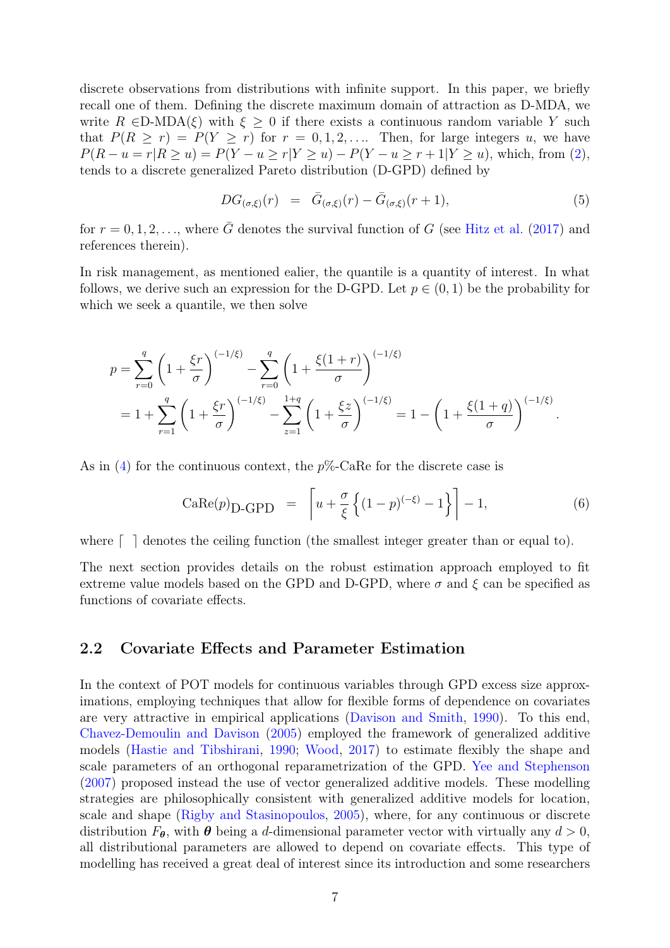discrete observations from distributions with infinite support. In this paper, we briefly recall one of them. Defining the discrete maximum domain of attraction as D-MDA, we write  $R \in D-MDA(\xi)$  with  $\xi > 0$  if there exists a continuous random variable Y such that  $P(R \ge r) = P(Y \ge r)$  for  $r = 0, 1, 2, \ldots$  Then, for large integers u, we have  $P(R - u = r | R \ge u) = P(Y - u \ge r | Y \ge u) - P(Y - u \ge r + 1 | Y \ge u)$ , which, from [\(2\)](#page-4-3), tends to a discrete generalized Pareto distribution (D-GPD) defined by

<span id="page-6-1"></span>
$$
DG_{(\sigma,\xi)}(r) = \bar{G}_{(\sigma,\xi)}(r) - \bar{G}_{(\sigma,\xi)}(r+1), \tag{5}
$$

for  $r = 0, 1, 2, \ldots$ , where  $\overline{G}$  denotes the survival function of G (see [Hitz et al.](#page-27-4) [\(2017\)](#page-27-4) and references therein).

In risk management, as mentioned ealier, the quantile is a quantity of interest. In what follows, we derive such an expression for the D-GPD. Let  $p \in (0,1)$  be the probability for which we seek a quantile, we then solve

$$
p = \sum_{r=0}^{q} \left( 1 + \frac{\xi r}{\sigma} \right)^{(-1/\xi)} - \sum_{r=0}^{q} \left( 1 + \frac{\xi (1+r)}{\sigma} \right)^{(-1/\xi)}
$$
  
=  $1 + \sum_{r=1}^{q} \left( 1 + \frac{\xi r}{\sigma} \right)^{(-1/\xi)} - \sum_{z=1}^{1+q} \left( 1 + \frac{\xi z}{\sigma} \right)^{(-1/\xi)} = 1 - \left( 1 + \frac{\xi (1+q)}{\sigma} \right)^{(-1/\xi)}.$ 

As in [\(4\)](#page-5-0) for the continuous context, the  $p\%$ -CaRe for the discrete case is

<span id="page-6-2"></span>
$$
CaRe(p)D-GPD = \left[ u + \frac{\sigma}{\xi} \left\{ (1-p)^{(-\xi)} - 1 \right\} \right] - 1, \tag{6}
$$

where  $\lceil \cdot \rceil$  denotes the ceiling function (the smallest integer greater than or equal to).

The next section provides details on the robust estimation approach employed to fit extreme value models based on the GPD and D-GPD, where  $\sigma$  and  $\xi$  can be specified as functions of covariate effects.

#### <span id="page-6-0"></span>2.2 Covariate Effects and Parameter Estimation

In the context of POT models for continuous variables through GPD excess size approximations, employing techniques that allow for flexible forms of dependence on covariates are very attractive in empirical applications [\(Davison and Smith,](#page-27-7) [1990\)](#page-27-7). To this end, [Chavez-Demoulin and Davison](#page-26-4) [\(2005\)](#page-26-4) employed the framework of generalized additive models [\(Hastie and Tibshirani,](#page-27-8) [1990;](#page-27-8) [Wood,](#page-28-0) [2017\)](#page-28-0) to estimate flexibly the shape and scale parameters of an orthogonal reparametrization of the GPD. [Yee and Stephenson](#page-28-1) [\(2007\)](#page-28-1) proposed instead the use of vector generalized additive models. These modelling strategies are philosophically consistent with generalized additive models for location, scale and shape [\(Rigby and Stasinopoulos,](#page-27-5) [2005\)](#page-27-5), where, for any continuous or discrete distribution  $F_{\theta}$ , with  $\theta$  being a d-dimensional parameter vector with virtually any  $d > 0$ , all distributional parameters are allowed to depend on covariate effects. This type of modelling has received a great deal of interest since its introduction and some researchers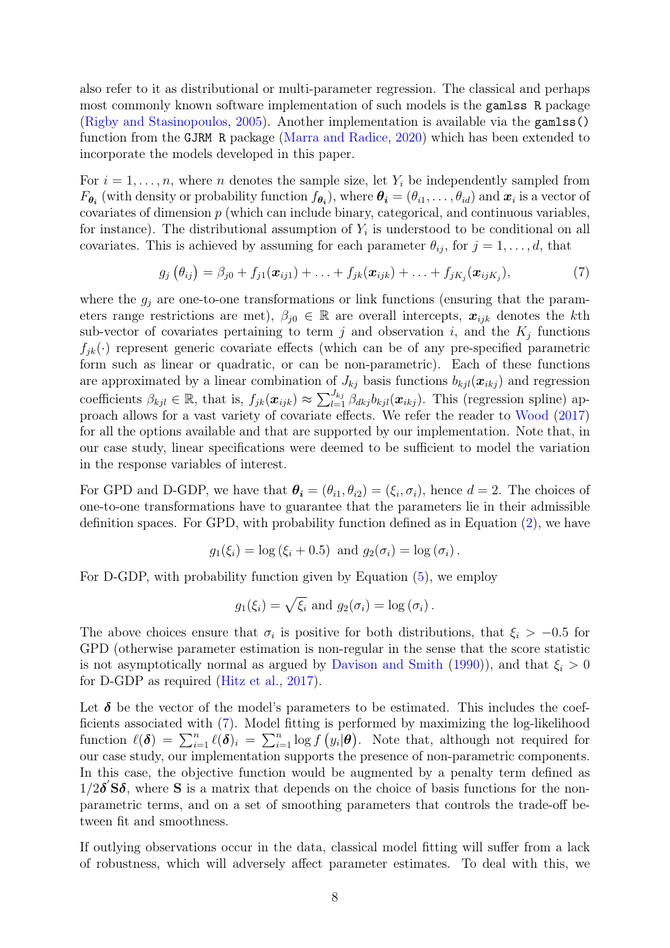also refer to it as distributional or multi-parameter regression. The classical and perhaps most commonly known software implementation of such models is the gamlss R package [\(Rigby and Stasinopoulos,](#page-27-5) [2005\)](#page-27-5). Another implementation is available via the gamlss() function from the GJRM R package [\(Marra and Radice,](#page-27-6) [2020\)](#page-27-6) which has been extended to incorporate the models developed in this paper.

For  $i = 1, \ldots, n$ , where n denotes the sample size, let  $Y_i$  be independently sampled from  $F_{\theta_i}$  (with density or probability function  $f_{\theta_i}$ ), where  $\theta_i = (\theta_{i1}, \dots, \theta_{id})$  and  $x_i$  is a vector of covariates of dimension p (which can include binary, categorical, and continuous variables, for instance). The distributional assumption of  $Y_i$  is understood to be conditional on all covariates. This is achieved by assuming for each parameter  $\theta_{ij}$ , for  $j = 1, \ldots, d$ , that

<span id="page-7-0"></span>
$$
g_j(\theta_{ij}) = \beta_{j0} + f_{j1}(\boldsymbol{x}_{ij1}) + \ldots + f_{jk}(\boldsymbol{x}_{ijk}) + \ldots + f_{jK_j}(\boldsymbol{x}_{ijK_j}),
$$
(7)

where the  $g_j$  are one-to-one transformations or link functions (ensuring that the parameters range restrictions are met),  $\beta_{j0} \in \mathbb{R}$  are overall intercepts,  $x_{ijk}$  denotes the kth sub-vector of covariates pertaining to term  $j$  and observation  $i$ , and the  $K_j$  functions  $f_{ik}(\cdot)$  represent generic covariate effects (which can be of any pre-specified parametric form such as linear or quadratic, or can be non-parametric). Each of these functions are approximated by a linear combination of  $J_{kj}$  basis functions  $b_{kj}(\boldsymbol{x}_{ikj})$  and regression coefficients  $\beta_{kjl} \in \mathbb{R}$ , that is,  $f_{jk}(\boldsymbol{x}_{ijk}) \approx \sum_{l=1}^{J_{kj}} \beta_{dkj} b_{kjl}(\boldsymbol{x}_{ikj})$ . This (regression spline) approach allows for a vast variety of covariate effects. We refer the reader to [Wood](#page-28-0) [\(2017\)](#page-28-0) for all the options available and that are supported by our implementation. Note that, in our case study, linear specifications were deemed to be sufficient to model the variation in the response variables of interest.

For GPD and D-GDP, we have that  $\theta_i = (\theta_{i1}, \theta_{i2}) = (\xi_i, \sigma_i)$ , hence  $d = 2$ . The choices of one-to-one transformations have to guarantee that the parameters lie in their admissible definition spaces. For GPD, with probability function defined as in Equation [\(2\)](#page-4-3), we have

$$
g_1(\xi_i) = \log (\xi_i + 0.5)
$$
 and  $g_2(\sigma_i) = \log (\sigma_i)$ .

For D-GDP, with probability function given by Equation [\(5\)](#page-6-1), we employ

$$
g_1(\xi_i) = \sqrt{\xi_i}
$$
 and  $g_2(\sigma_i) = \log(\sigma_i)$ .

The above choices ensure that  $\sigma_i$  is positive for both distributions, that  $\xi_i > -0.5$  for GPD (otherwise parameter estimation is non-regular in the sense that the score statistic is not asymptotically normal as argued by [Davison and Smith](#page-27-7) [\(1990\)](#page-27-7)), and that  $\xi_i > 0$ for D-GDP as required [\(Hitz et al.,](#page-27-4) [2017\)](#page-27-4).

Let  $\delta$  be the vector of the model's parameters to be estimated. This includes the coefficients associated with [\(7\)](#page-7-0). Model fitting is performed by maximizing the log-likelihood function  $\ell(\delta) = \sum_{i=1}^n \ell(\delta)_i = \sum_{i=1}^n \log f(y_i|\theta)$ . Note that, although not required for our case study, our implementation supports the presence of non-parametric components. In this case, the objective function would be augmented by a penalty term defined as  $1/2\delta' S\delta$ , where S is a matrix that depends on the choice of basis functions for the nonparametric terms, and on a set of smoothing parameters that controls the trade-off between fit and smoothness.

If outlying observations occur in the data, classical model fitting will suffer from a lack of robustness, which will adversely affect parameter estimates. To deal with this, we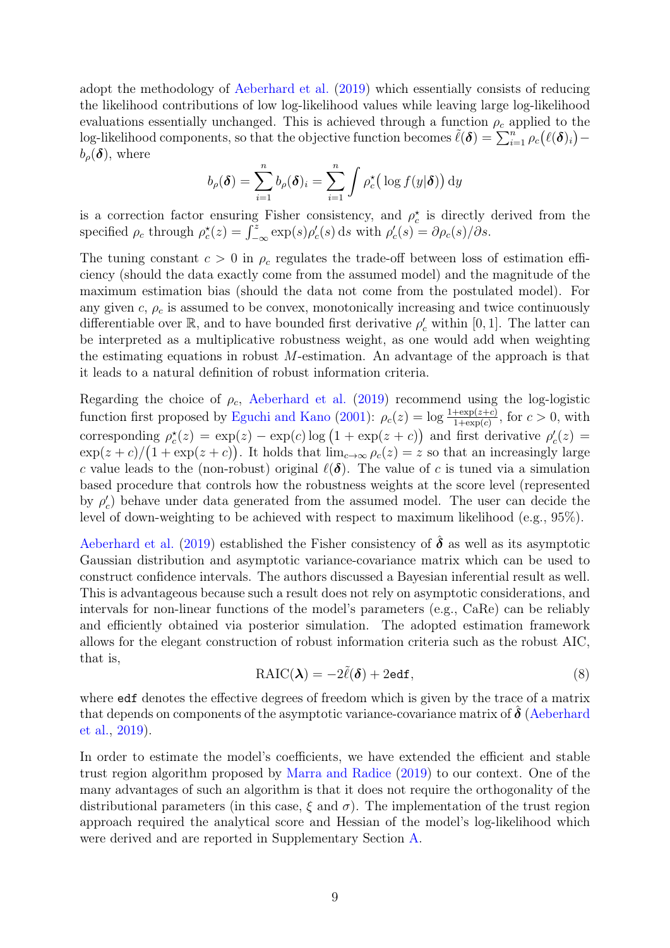adopt the methodology of [Aeberhard et al.](#page-26-1) [\(2019\)](#page-26-1) which essentially consists of reducing the likelihood contributions of low log-likelihood values while leaving large log-likelihood evaluations essentially unchanged. This is achieved through a function  $\rho_c$  applied to the log-likelihood components, so that the objective function becomes  $\tilde{\ell}(\boldsymbol{\delta}) = \sum_{i=1}^n \rho_c(\ell(\boldsymbol{\delta})_i)$  $b_o(\boldsymbol{\delta})$ , where

$$
b_{\rho}(\boldsymbol{\delta}) = \sum_{i=1}^{n} b_{\rho}(\boldsymbol{\delta})_i = \sum_{i=1}^{n} \int \rho_c^{\star} \big( \log f(y|\boldsymbol{\delta}) \big) dy
$$

is a correction factor ensuring Fisher consistency, and  $\rho_c^*$  is directly derived from the specified  $\rho_c$  through  $\rho_c^*(z) = \int_{-\infty}^{z} \exp(s)\rho_c'(s) ds$  with  $\rho_c'(s) = \partial \rho_c(s)/\partial s$ .

The tuning constant  $c > 0$  in  $\rho_c$  regulates the trade-off between loss of estimation efficiency (should the data exactly come from the assumed model) and the magnitude of the maximum estimation bias (should the data not come from the postulated model). For any given  $c, \rho_c$  is assumed to be convex, monotonically increasing and twice continuously differentiable over  $\mathbb{R}$ , and to have bounded first derivative  $\rho'_{c}$  within [0, 1]. The latter can be interpreted as a multiplicative robustness weight, as one would add when weighting the estimating equations in robust  $M$ -estimation. An advantage of the approach is that it leads to a natural definition of robust information criteria.

Regarding the choice of  $\rho_c$ , [Aeberhard et al.](#page-26-1) [\(2019\)](#page-26-1) recommend using the log-logistic function first proposed by [Eguchi and Kano](#page-27-9) [\(2001\)](#page-27-9):  $\rho_c(z) = \log \frac{1 + \exp(z+c)}{1 + \exp(c)}$ , for  $c > 0$ , with corresponding  $\rho_c^*(z) = \exp(z) - \exp(c) \log(1 + \exp(z + c))$  and first derivative  $\rho_c'(z) =$  $\exp(z+c)/(1+\exp(z+c))$ . It holds that  $\lim_{c\to\infty}\rho_c(z)=z$  so that an increasingly large c value leads to the (non-robust) original  $\ell(\delta)$ . The value of c is tuned via a simulation based procedure that controls how the robustness weights at the score level (represented by  $\rho'_{c}$ ) behave under data generated from the assumed model. The user can decide the level of down-weighting to be achieved with respect to maximum likelihood (e.g., 95%).

[Aeberhard et al.](#page-26-1) [\(2019\)](#page-26-1) established the Fisher consistency of  $\delta$  as well as its asymptotic Gaussian distribution and asymptotic variance-covariance matrix which can be used to construct confidence intervals. The authors discussed a Bayesian inferential result as well. This is advantageous because such a result does not rely on asymptotic considerations, and intervals for non-linear functions of the model's parameters (e.g., CaRe) can be reliably and efficiently obtained via posterior simulation. The adopted estimation framework allows for the elegant construction of robust information criteria such as the robust AIC, that is,

<span id="page-8-0"></span>
$$
RAIC(\lambda) = -2\tilde{\ell}(\delta) + 2edf,
$$
\n(8)

where **edf** denotes the effective degrees of freedom which is given by the trace of a matrix that depends on components of the asymptotic variance-covariance matrix of  $\delta$  [\(Aeberhard](#page-26-1) [et al.,](#page-26-1) [2019\)](#page-26-1).

In order to estimate the model's coefficients, we have extended the efficient and stable trust region algorithm proposed by [Marra and Radice](#page-27-10) [\(2019\)](#page-27-10) to our context. One of the many advantages of such an algorithm is that it does not require the orthogonality of the distributional parameters (in this case,  $\xi$  and  $\sigma$ ). The implementation of the trust region approach required the analytical score and Hessian of the model's log-likelihood which were derived and are reported in Supplementary Section [A.](#page-29-0)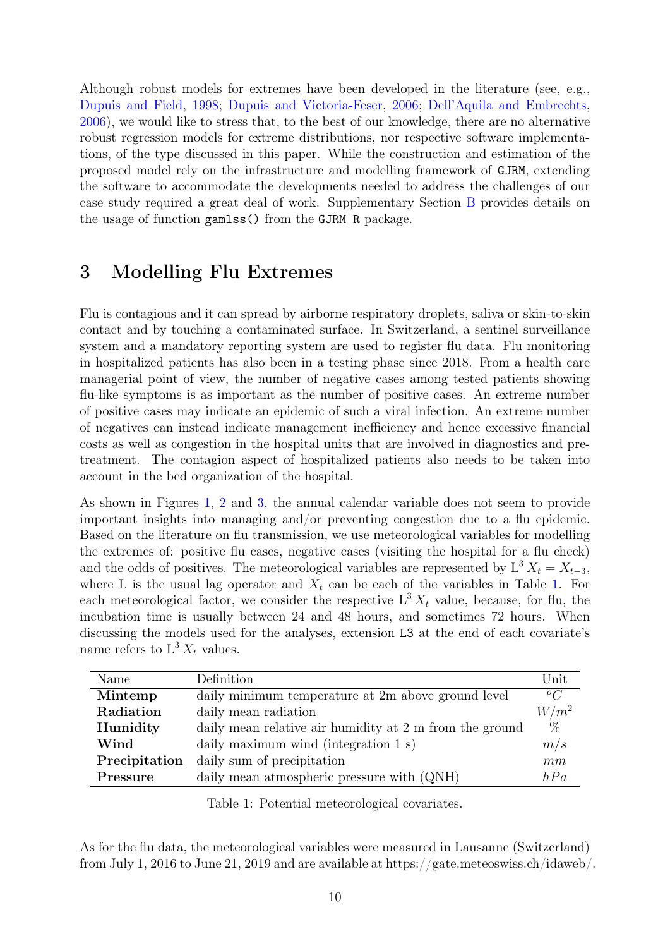Although robust models for extremes have been developed in the literature (see, e.g., [Dupuis and Field,](#page-27-11) [1998;](#page-27-11) [Dupuis and Victoria-Feser,](#page-27-12) [2006;](#page-27-12) [Dell'Aquila and Embrechts,](#page-27-13) [2006\)](#page-27-13), we would like to stress that, to the best of our knowledge, there are no alternative robust regression models for extreme distributions, nor respective software implementations, of the type discussed in this paper. While the construction and estimation of the proposed model rely on the infrastructure and modelling framework of GJRM, extending the software to accommodate the developments needed to address the challenges of our case study required a great deal of work. Supplementary Section [B](#page-32-0) provides details on the usage of function gamlss() from the GJRM R package.

## <span id="page-9-0"></span>3 Modelling Flu Extremes

Flu is contagious and it can spread by airborne respiratory droplets, saliva or skin-to-skin contact and by touching a contaminated surface. In Switzerland, a sentinel surveillance system and a mandatory reporting system are used to register flu data. Flu monitoring in hospitalized patients has also been in a testing phase since 2018. From a health care managerial point of view, the number of negative cases among tested patients showing flu-like symptoms is as important as the number of positive cases. An extreme number of positive cases may indicate an epidemic of such a viral infection. An extreme number of negatives can instead indicate management inefficiency and hence excessive financial costs as well as congestion in the hospital units that are involved in diagnostics and pretreatment. The contagion aspect of hospitalized patients also needs to be taken into account in the bed organization of the hospital.

As shown in Figures [1,](#page-1-1) [2](#page-2-0) and [3,](#page-3-0) the annual calendar variable does not seem to provide important insights into managing and/or preventing congestion due to a flu epidemic. Based on the literature on flu transmission, we use meteorological variables for modelling the extremes of: positive flu cases, negative cases (visiting the hospital for a flu check) and the odds of positives. The meteorological variables are represented by  $L^3 X_t = X_{t-3}$ , where L is the usual lag operator and  $X_t$  can be each of the variables in Table [1.](#page-9-1) For each meteorological factor, we consider the respective  $L^3 X_t$  value, because, for flu, the incubation time is usually between 24 and 48 hours, and sometimes 72 hours. When discussing the models used for the analyses, extension L3 at the end of each covariate's name refers to  $L^3 X_t$  values.

| Name          | Definition                                              | Unit    |
|---------------|---------------------------------------------------------|---------|
| Mintemp       | daily minimum temperature at 2m above ground level      | $^oC$   |
| Radiation     | daily mean radiation                                    | $W/m^2$ |
| Humidity      | daily mean relative air humidity at 2 m from the ground | $\%$    |
| Wind          | daily maximum wind (integration 1 s)                    | m/s     |
| Precipitation | daily sum of precipitation                              | mm      |
| Pressure      | daily mean atmospheric pressure with (QNH)              | hPa     |

<span id="page-9-1"></span>Table 1: Potential meteorological covariates.

As for the flu data, the meteorological variables were measured in Lausanne (Switzerland) from July 1, 2016 to June 21, 2019 and are available at https://gate.meteoswiss.ch/idaweb/.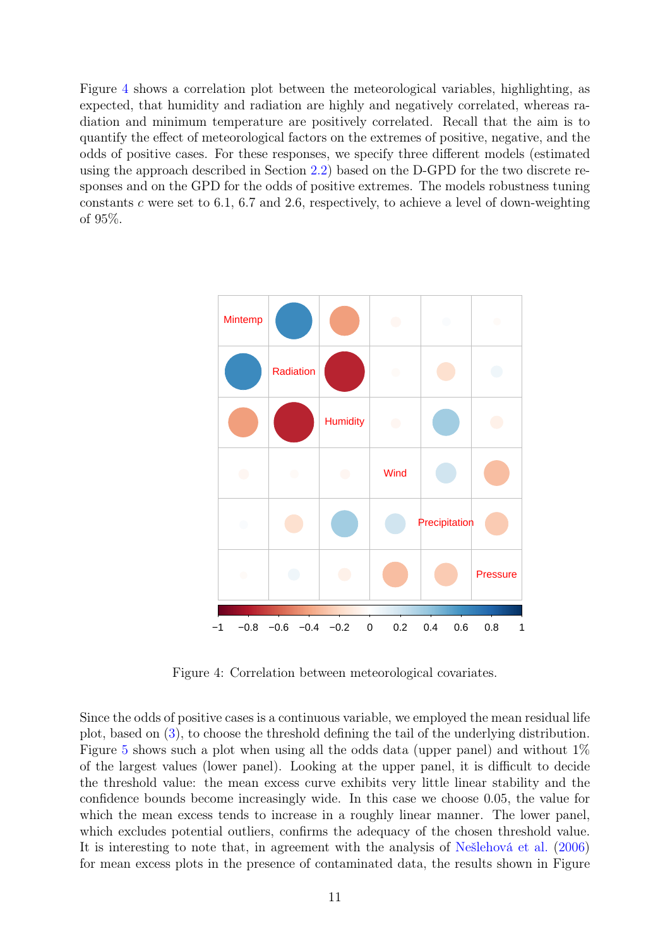Figure [4](#page-10-0) shows a correlation plot between the meteorological variables, highlighting, as expected, that humidity and radiation are highly and negatively correlated, whereas radiation and minimum temperature are positively correlated. Recall that the aim is to quantify the effect of meteorological factors on the extremes of positive, negative, and the odds of positive cases. For these responses, we specify three different models (estimated using the approach described in Section [2.2\)](#page-6-0) based on the D-GPD for the two discrete responses and on the GPD for the odds of positive extremes. The models robustness tuning constants c were set to 6.1, 6.7 and 2.6, respectively, to achieve a level of down-weighting of 95%.



<span id="page-10-0"></span>Figure 4: Correlation between meteorological covariates.

Since the odds of positive cases is a continuous variable, we employed the mean residual life plot, based on [\(3\)](#page-5-1), to choose the threshold defining the tail of the underlying distribution. Figure [5](#page-11-0) shows such a plot when using all the odds data (upper panel) and without 1% of the largest values (lower panel). Looking at the upper panel, it is difficult to decide the threshold value: the mean excess curve exhibits very little linear stability and the confidence bounds become increasingly wide. In this case we choose 0.05, the value for which the mean excess tends to increase in a roughly linear manner. The lower panel, which excludes potential outliers, confirms the adequacy of the chosen threshold value. It is interesting to note that, in agreement with the analysis of [Nešlehová et al.](#page-27-14) [\(2006\)](#page-27-14) for mean excess plots in the presence of contaminated data, the results shown in Figure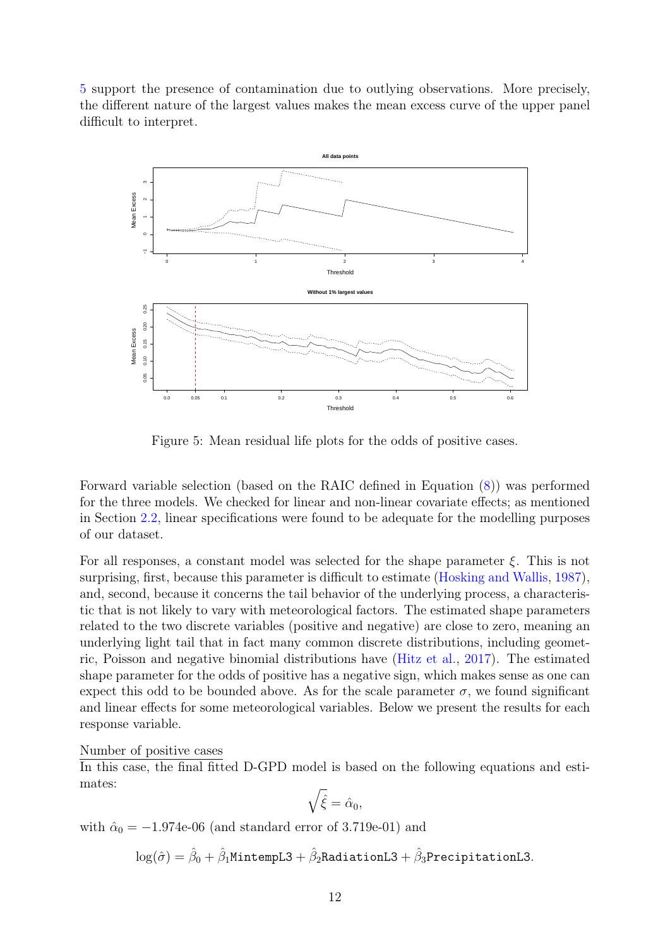[5](#page-11-0) support the presence of contamination due to outlying observations. More precisely, the different nature of the largest values makes the mean excess curve of the upper panel difficult to interpret.



<span id="page-11-0"></span>Figure 5: Mean residual life plots for the odds of positive cases.

Forward variable selection (based on the RAIC defined in Equation [\(8\)](#page-8-0)) was performed for the three models. We checked for linear and non-linear covariate effects; as mentioned in Section [2.2,](#page-6-0) linear specifications were found to be adequate for the modelling purposes of our dataset.

For all responses, a constant model was selected for the shape parameter  $\xi$ . This is not surprising, first, because this parameter is difficult to estimate [\(Hosking and Wallis,](#page-27-15) [1987\)](#page-27-15), and, second, because it concerns the tail behavior of the underlying process, a characteristic that is not likely to vary with meteorological factors. The estimated shape parameters related to the two discrete variables (positive and negative) are close to zero, meaning an underlying light tail that in fact many common discrete distributions, including geometric, Poisson and negative binomial distributions have [\(Hitz et al.,](#page-27-4) [2017\)](#page-27-4). The estimated shape parameter for the odds of positive has a negative sign, which makes sense as one can expect this odd to be bounded above. As for the scale parameter  $\sigma$ , we found significant and linear effects for some meteorological variables. Below we present the results for each response variable.

#### Number of positive cases

In this case, the final fitted D-GPD model is based on the following equations and estimates:

$$
\sqrt{\hat{\xi}} = \hat{\alpha}_0,
$$

with  $\hat{\alpha}_0 = -1.974e-06$  (and standard error of 3.719e-01) and

 $\log(\hat{\sigma}) = \hat{\beta}_0 + \hat{\beta}_1$ MintempL3  $+$   $\hat{\beta}_2$ RadiationL3  $+$   $\hat{\beta}_3$ PrecipitationL3.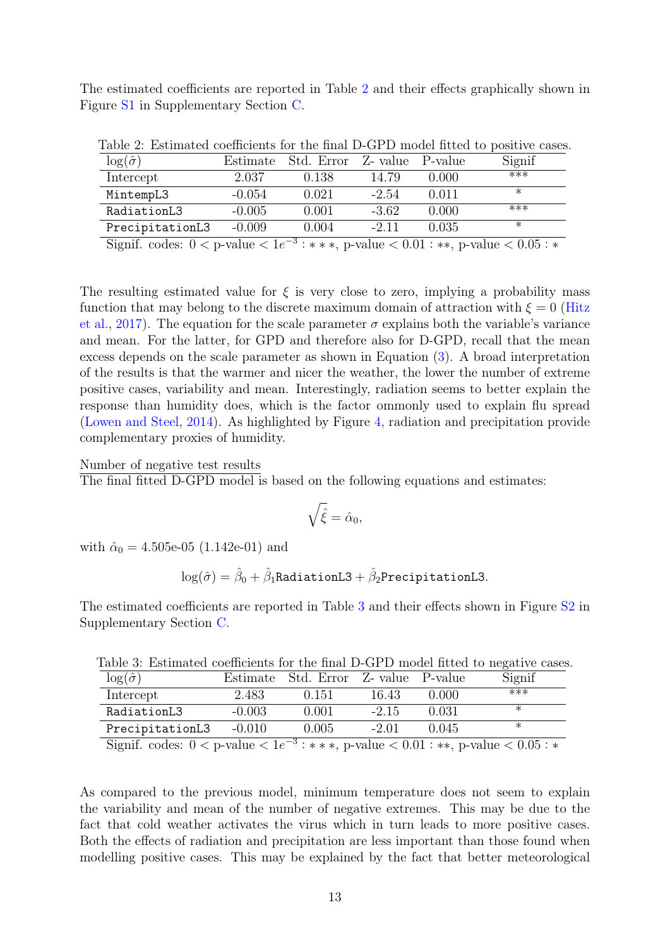The estimated coefficients are reported in Table [2](#page-12-0) and their effects graphically shown in Figure [S1](#page-1-1) in Supplementary Section [C.](#page-15-0)

| Table 2: Estimated coefficients for the final D-GPD model fitted to positive cases.              |          |            |                 |       |         |
|--------------------------------------------------------------------------------------------------|----------|------------|-----------------|-------|---------|
| $\log(\hat{\sigma})$                                                                             | Estimate | Std. Error | Z-value P-value |       | Signif  |
| Intercept                                                                                        | 2.037    | 0.138      | 14.79           | 0.000 | $***$   |
| MintempL3                                                                                        | $-0.054$ | 0.021      | $-2.54$         | 0.011 | $^\ast$ |
| RadiationL3                                                                                      | $-0.005$ | 0.001      | $-3.62$         | 0.000 | ***     |
| PrecipitationL3                                                                                  | $-0.009$ | 0.004      | $-2.11$         | 0.035 | $\ast$  |
| Signif codoe $0 \leq p$ value $\leq 1e^{-3} + 1e^{-3} + 1$ value $\leq 0.01 + 1e^{-3} + 1e^{-3}$ |          |            |                 |       |         |

<span id="page-12-0"></span>Table 2: Estimated coefficients for the final D-GPD model fitted to positive cases.

Signif. codes:  $0 < p$ -value  $1e^{-3}$ : \*\*\*, p-value  $0.01$ : \*\*, p-value  $0.05$ : \*

The resulting estimated value for  $\xi$  is very close to zero, implying a probability mass function that may belong to the discrete maximum domain of attraction with  $\xi = 0$  [\(Hitz](#page-27-4) [et al.,](#page-27-4) [2017\)](#page-27-4). The equation for the scale parameter  $\sigma$  explains both the variable's variance and mean. For the latter, for GPD and therefore also for D-GPD, recall that the mean excess depends on the scale parameter as shown in Equation [\(3\)](#page-5-1). A broad interpretation of the results is that the warmer and nicer the weather, the lower the number of extreme positive cases, variability and mean. Interestingly, radiation seems to better explain the response than humidity does, which is the factor ommonly used to explain flu spread [\(Lowen and Steel,](#page-27-3) [2014\)](#page-27-3). As highlighted by Figure [4,](#page-10-0) radiation and precipitation provide complementary proxies of humidity.

#### Number of negative test results

The final fitted D-GPD model is based on the following equations and estimates:

$$
\sqrt{\hat{\xi}} = \hat{\alpha}_0,
$$

with  $\hat{\alpha}_0 = 4.505e^{-0.5}$  (1.142e-01) and

$$
\log(\hat{\sigma}) = \hat{\beta}_0 + \hat{\beta}_1 \texttt{RadiationL3} + \hat{\beta}_2 \texttt{PrecriptionL3}.
$$

The estimated coefficients are reported in Table [3](#page-12-1) and their effects shown in Figure [S2](#page-2-0) in Supplementary Section [C.](#page-15-0)

Table 3: Estimated coefficients for the final D-GPD model fitted to negative cases.

<span id="page-12-1"></span>

| $\log(\hat{\sigma})$ |          | Estimate Std. Error Z- value P-value |         |       | Signif |
|----------------------|----------|--------------------------------------|---------|-------|--------|
| Intercept            | 2.483    | 0.151                                | 16.43   | 0.000 | ***    |
| RadiationL3          | $-0.003$ | 0.001                                | $-2.15$ | 0.031 |        |
| PrecipitationL3      | $-0.010$ | $\,0.005\,$                          | $-2.01$ | 0.045 |        |

Signif. codes:  $0 < p$ -value  $1e^{-3}$ : \*\*\*, p-value  $0.01$ : \*\*, p-value  $0.05$ : \*

As compared to the previous model, minimum temperature does not seem to explain the variability and mean of the number of negative extremes. This may be due to the fact that cold weather activates the virus which in turn leads to more positive cases. Both the effects of radiation and precipitation are less important than those found when modelling positive cases. This may be explained by the fact that better meteorological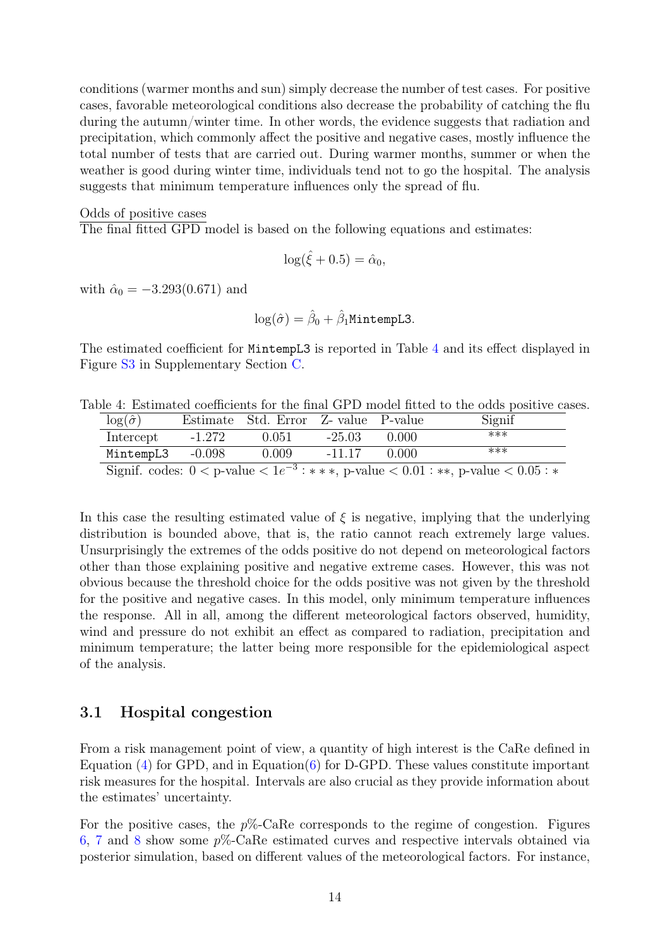conditions (warmer months and sun) simply decrease the number of test cases. For positive cases, favorable meteorological conditions also decrease the probability of catching the flu during the autumn/winter time. In other words, the evidence suggests that radiation and precipitation, which commonly affect the positive and negative cases, mostly influence the total number of tests that are carried out. During warmer months, summer or when the weather is good during winter time, individuals tend not to go the hospital. The analysis suggests that minimum temperature influences only the spread of flu.

#### Odds of positive cases

The final fitted GPD model is based on the following equations and estimates:

$$
\log(\hat{\xi} + 0.5) = \hat{\alpha}_0,
$$

with  $\hat{\alpha}_0 = -3.293(0.671)$  and

$$
\log(\hat{\sigma}) = \hat{\beta}_0 + \hat{\beta}_1 \texttt{MintempL3}.
$$

The estimated coefficient for MintempL3 is reported in Table [4](#page-13-0) and its effect displayed in Figure [S3](#page-3-0) in Supplementary Section [C.](#page-15-0)

Table 4: Estimated coefficients for the final GPD model fitted to the odds positive cases.

<span id="page-13-0"></span>

| $\log(\hat{\sigma})$ |        | Estimate Std. Error Z-value P-value |          |       | Signif                                                                                   |
|----------------------|--------|-------------------------------------|----------|-------|------------------------------------------------------------------------------------------|
| Intercept            | -1.272 | 0.051                               | $-25.03$ | 0.000 | $***$                                                                                    |
| $MintempL3$ $-0.098$ |        | 0.009                               | $-11.17$ | 0.000 | $***$                                                                                    |
|                      |        |                                     |          |       | Signify endow $0 \le p$ value $\le 1e^{-3}$ is the product $0.01$ into product $0.05$ in |

Signif. codes:  $0 < p$ -value  $1e^{-3}$ : \*\*\*, p-value  $0.01$ : \*\*, p-value  $0.05$ : \*

In this case the resulting estimated value of  $\xi$  is negative, implying that the underlying distribution is bounded above, that is, the ratio cannot reach extremely large values. Unsurprisingly the extremes of the odds positive do not depend on meteorological factors other than those explaining positive and negative extreme cases. However, this was not obvious because the threshold choice for the odds positive was not given by the threshold for the positive and negative cases. In this model, only minimum temperature influences the response. All in all, among the different meteorological factors observed, humidity, wind and pressure do not exhibit an effect as compared to radiation, precipitation and minimum temperature; the latter being more responsible for the epidemiological aspect of the analysis.

#### 3.1 Hospital congestion

From a risk management point of view, a quantity of high interest is the CaRe defined in Equation [\(4\)](#page-5-0) for GPD, and in Equation[\(6\)](#page-6-2) for D-GPD. These values constitute important risk measures for the hospital. Intervals are also crucial as they provide information about the estimates' uncertainty.

For the positive cases, the  $p\%$ -CaRe corresponds to the regime of congestion. Figures [6,](#page-15-0) [7](#page-16-0) and [8](#page-17-0) show some p%-CaRe estimated curves and respective intervals obtained via posterior simulation, based on different values of the meteorological factors. For instance,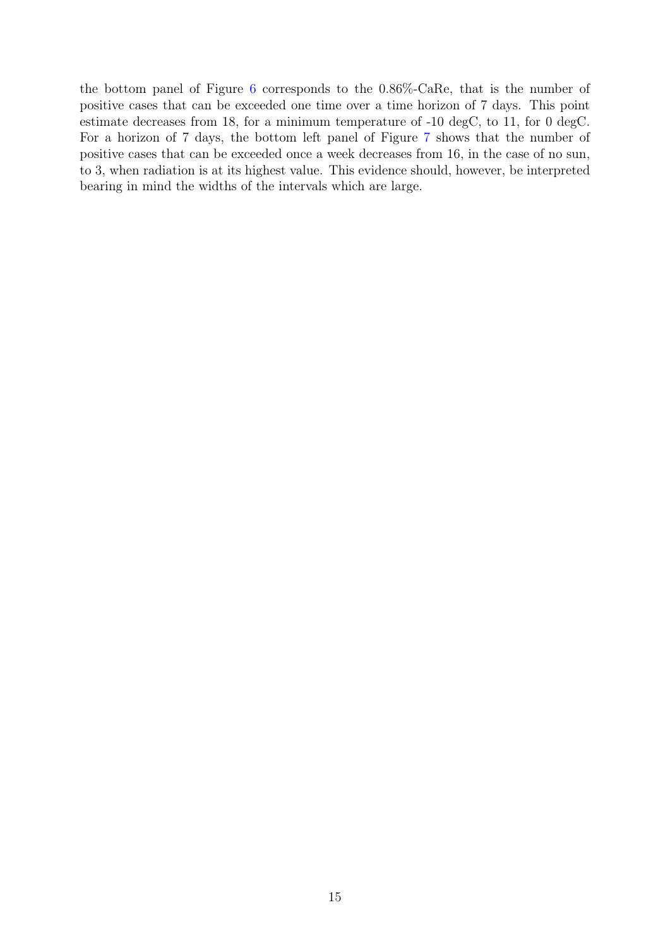the bottom panel of Figure [6](#page-15-0) corresponds to the 0.86%-CaRe, that is the number of positive cases that can be exceeded one time over a time horizon of 7 days. This point estimate decreases from 18, for a minimum temperature of -10 degC, to 11, for 0 degC. For a horizon of 7 days, the bottom left panel of Figure [7](#page-16-0) shows that the number of positive cases that can be exceeded once a week decreases from 16, in the case of no sun, to 3, when radiation is at its highest value. This evidence should, however, be interpreted bearing in mind the widths of the intervals which are large.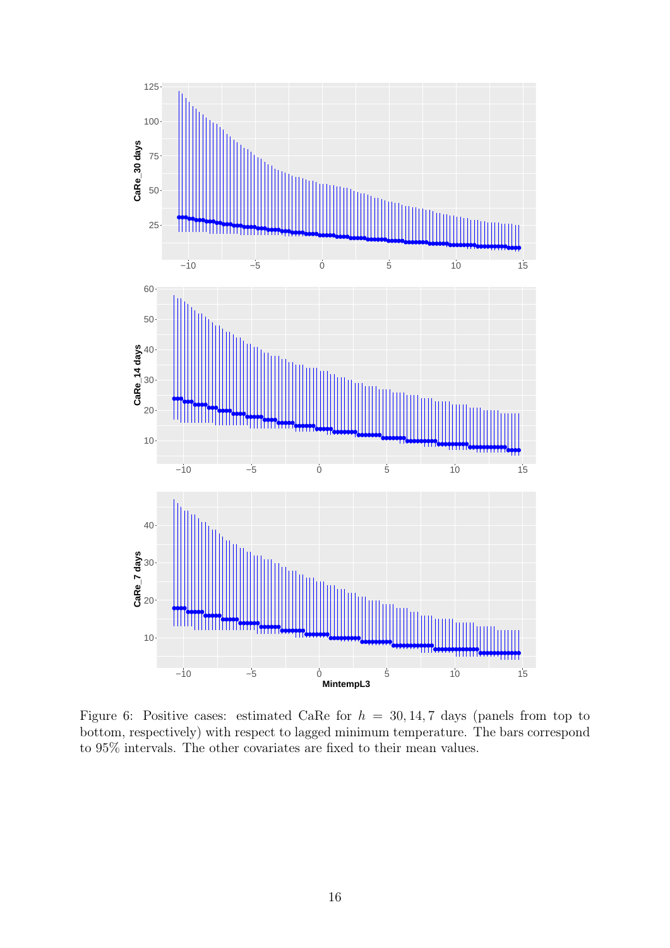

<span id="page-15-0"></span>Figure 6: Positive cases: estimated CaRe for  $h = 30, 14, 7$  days (panels from top to bottom, respectively) with respect to lagged minimum temperature. The bars correspond to 95% intervals. The other covariates are fixed to their mean values.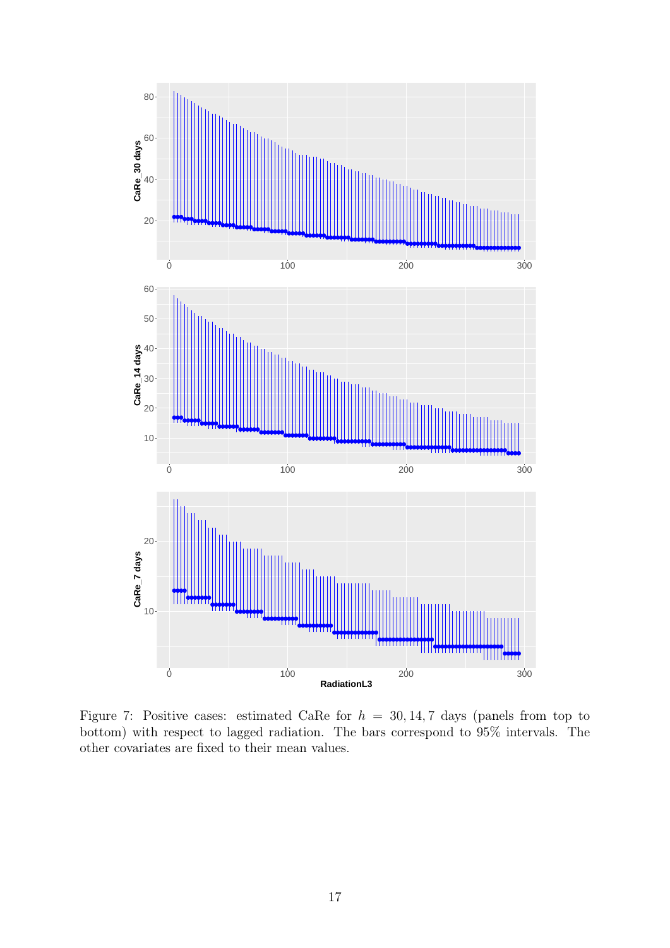

<span id="page-16-0"></span>Figure 7: Positive cases: estimated CaRe for  $h = 30, 14, 7$  days (panels from top to bottom) with respect to lagged radiation. The bars correspond to 95% intervals. The other covariates are fixed to their mean values.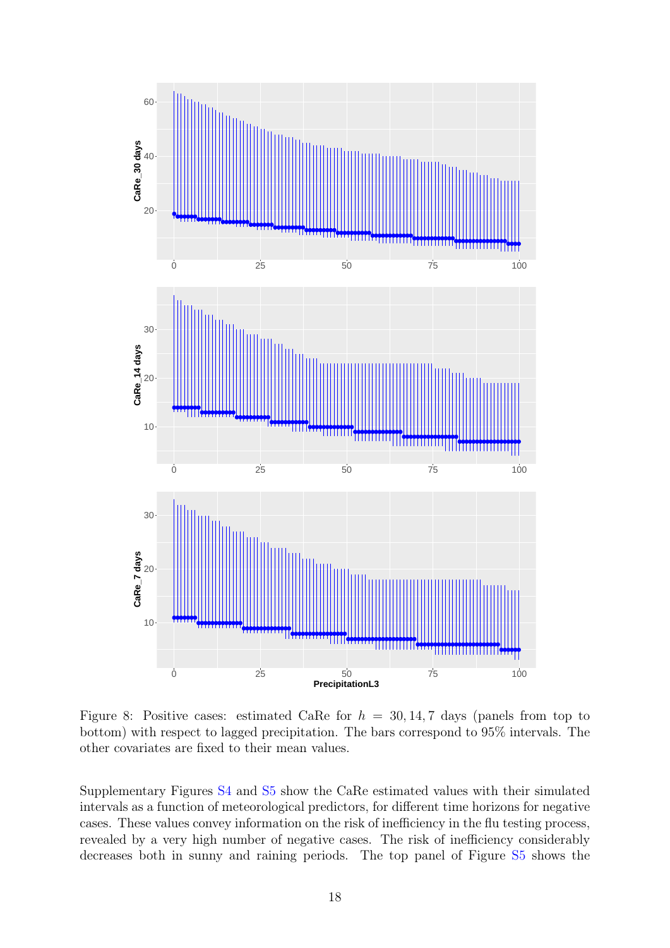

<span id="page-17-0"></span>Figure 8: Positive cases: estimated CaRe for  $h = 30, 14, 7$  days (panels from top to bottom) with respect to lagged precipitation. The bars correspond to 95% intervals. The other covariates are fixed to their mean values.

Supplementary Figures [S4](#page-10-0) and [S5](#page-11-0) show the CaRe estimated values with their simulated intervals as a function of meteorological predictors, for different time horizons for negative cases. These values convey information on the risk of inefficiency in the flu testing process, revealed by a very high number of negative cases. The risk of inefficiency considerably decreases both in sunny and raining periods. The top panel of Figure [S5](#page-11-0) shows the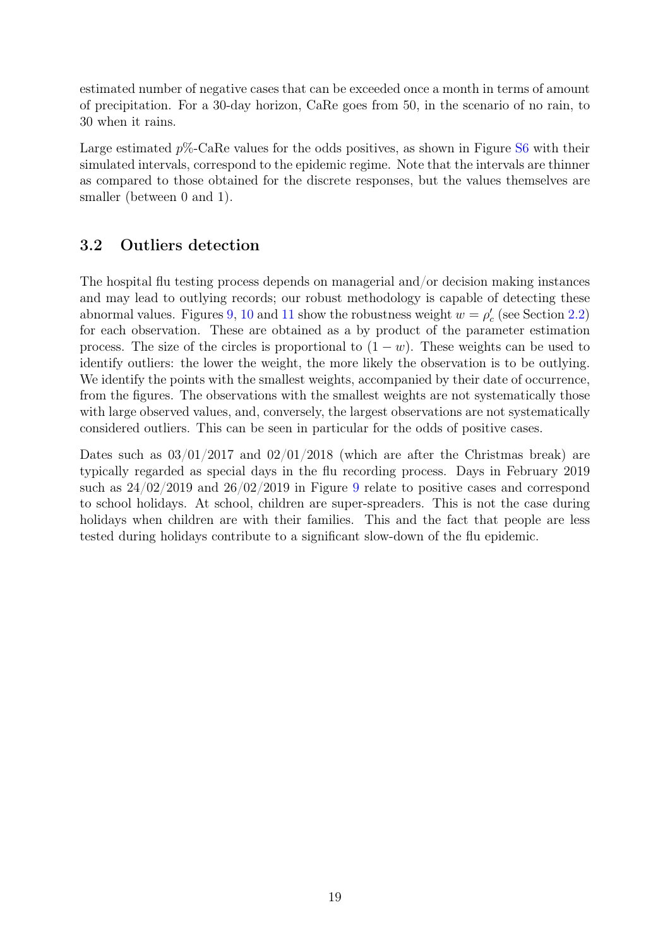estimated number of negative cases that can be exceeded once a month in terms of amount of precipitation. For a 30-day horizon, CaRe goes from 50, in the scenario of no rain, to 30 when it rains.

Large estimated  $p\%$ -CaRe values for the odds positives, as shown in Figure [S6](#page-15-0) with their simulated intervals, correspond to the epidemic regime. Note that the intervals are thinner as compared to those obtained for the discrete responses, but the values themselves are smaller (between 0 and 1).

### 3.2 Outliers detection

The hospital flu testing process depends on managerial and/or decision making instances and may lead to outlying records; our robust methodology is capable of detecting these abnormal values. Figures [9,](#page-19-0) [10](#page-19-1) and [11](#page-20-1) show the robustness weight  $w = \rho_c'$  (see Section [2.2\)](#page-6-0) for each observation. These are obtained as a by product of the parameter estimation process. The size of the circles is proportional to  $(1 - w)$ . These weights can be used to identify outliers: the lower the weight, the more likely the observation is to be outlying. We identify the points with the smallest weights, accompanied by their date of occurrence, from the figures. The observations with the smallest weights are not systematically those with large observed values, and, conversely, the largest observations are not systematically considered outliers. This can be seen in particular for the odds of positive cases.

Dates such as  $03/01/2017$  and  $02/01/2018$  (which are after the Christmas break) are typically regarded as special days in the flu recording process. Days in February 2019 such as 24/02/2019 and 26/02/2019 in Figure [9](#page-19-0) relate to positive cases and correspond to school holidays. At school, children are super-spreaders. This is not the case during holidays when children are with their families. This and the fact that people are less tested during holidays contribute to a significant slow-down of the flu epidemic.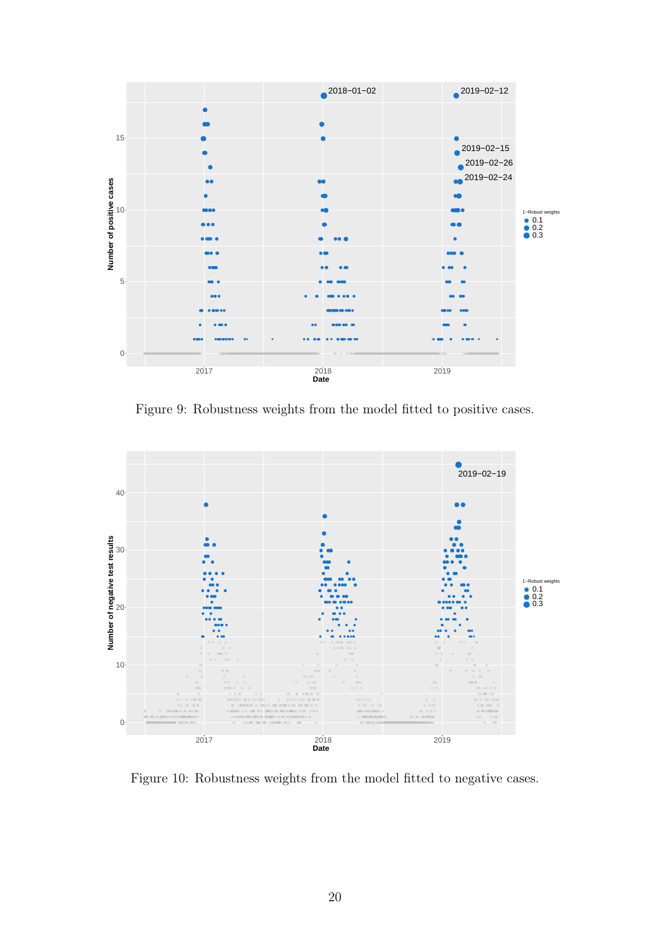

<span id="page-19-0"></span>Figure 9: Robustness weights from the model fitted to positive cases.



<span id="page-19-1"></span>Figure 10: Robustness weights from the model fitted to negative cases.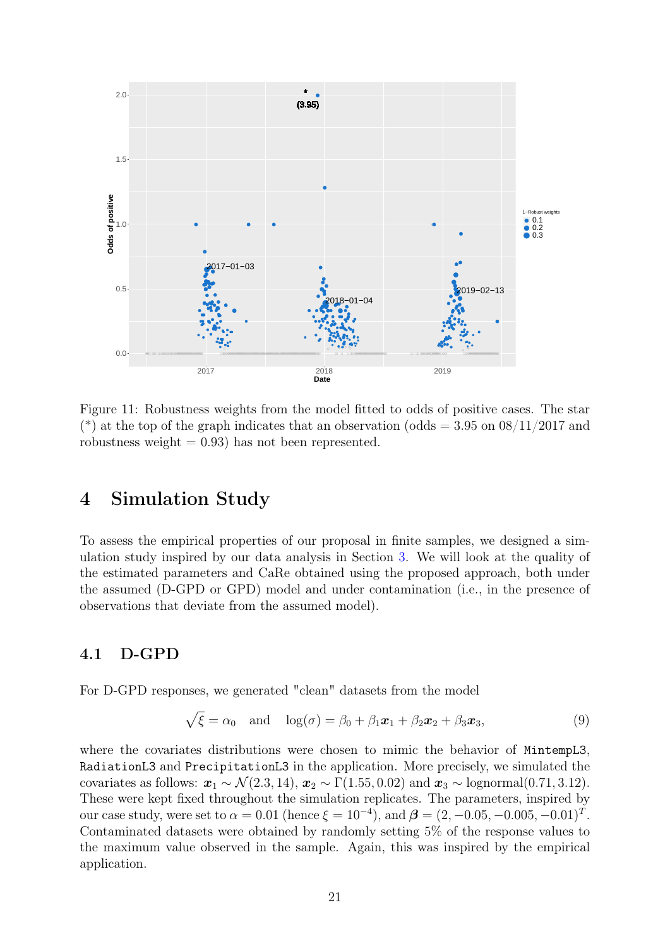

<span id="page-20-1"></span>Figure 11: Robustness weights from the model fitted to odds of positive cases. The star (\*) at the top of the graph indicates that an observation (odds  $= 3.95$  on  $08/11/2017$  and robustness weight  $= 0.93$  has not been represented.

## <span id="page-20-0"></span>4 Simulation Study

To assess the empirical properties of our proposal in finite samples, we designed a simulation study inspired by our data analysis in Section [3.](#page-9-0) We will look at the quality of the estimated parameters and CaRe obtained using the proposed approach, both under the assumed (D-GPD or GPD) model and under contamination (i.e., in the presence of observations that deviate from the assumed model).

#### 4.1 D-GPD

For D-GPD responses, we generated "clean" datasets from the model

<span id="page-20-2"></span>
$$
\sqrt{\xi} = \alpha_0 \quad \text{and} \quad \log(\sigma) = \beta_0 + \beta_1 \mathbf{x}_1 + \beta_2 \mathbf{x}_2 + \beta_3 \mathbf{x}_3,\tag{9}
$$

where the covariates distributions were chosen to mimic the behavior of MintempL3, RadiationL3 and PrecipitationL3 in the application. More precisely, we simulated the covariates as follows:  $x_1 \sim \mathcal{N}(2.3, 14), x_2 \sim \Gamma(1.55, 0.02)$  and  $x_3 \sim$  lognormal(0.71, 3.12). These were kept fixed throughout the simulation replicates. The parameters, inspired by our case study, were set to  $\alpha = 0.01$  (hence  $\xi = 10^{-4}$ ), and  $\boldsymbol{\beta} = (2, -0.05, -0.005, -0.01)^T$ . Contaminated datasets were obtained by randomly setting 5% of the response values to the maximum value observed in the sample. Again, this was inspired by the empirical application.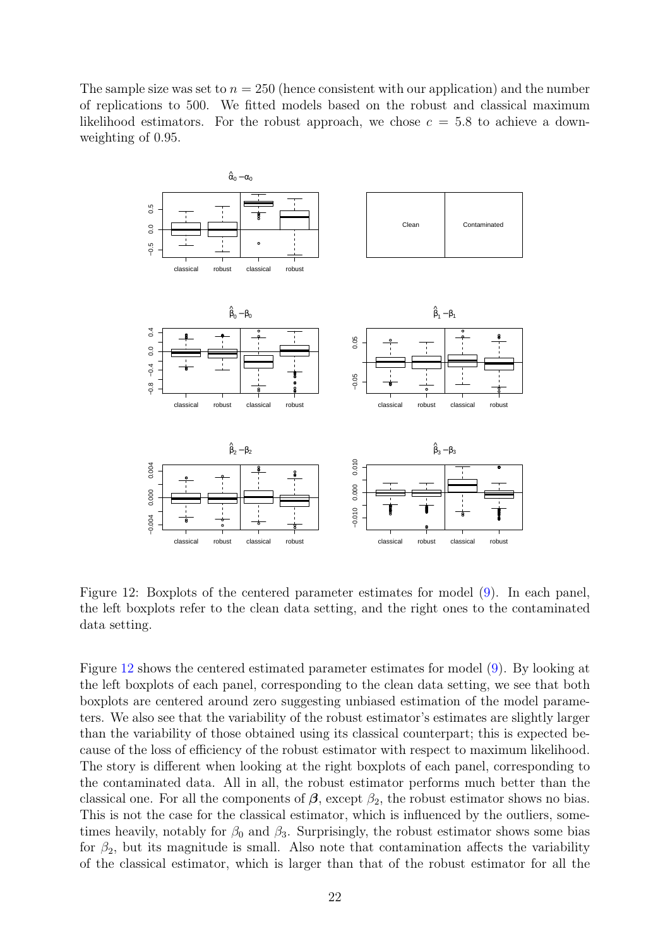The sample size was set to  $n = 250$  (hence consistent with our application) and the number of replications to 500. We fitted models based on the robust and classical maximum likelihood estimators. For the robust approach, we chose  $c = 5.8$  to achieve a downweighting of 0.95.



<span id="page-21-0"></span>Figure 12: Boxplots of the centered parameter estimates for model [\(9\)](#page-20-2). In each panel, the left boxplots refer to the clean data setting, and the right ones to the contaminated data setting.

Figure [12](#page-21-0) shows the centered estimated parameter estimates for model [\(9\)](#page-20-2). By looking at the left boxplots of each panel, corresponding to the clean data setting, we see that both boxplots are centered around zero suggesting unbiased estimation of the model parameters. We also see that the variability of the robust estimator's estimates are slightly larger than the variability of those obtained using its classical counterpart; this is expected because of the loss of efficiency of the robust estimator with respect to maximum likelihood. The story is different when looking at the right boxplots of each panel, corresponding to the contaminated data. All in all, the robust estimator performs much better than the classical one. For all the components of  $\beta$ , except  $\beta_2$ , the robust estimator shows no bias. This is not the case for the classical estimator, which is influenced by the outliers, sometimes heavily, notably for  $\beta_0$  and  $\beta_3$ . Surprisingly, the robust estimator shows some bias for  $\beta_2$ , but its magnitude is small. Also note that contamination affects the variability of the classical estimator, which is larger than that of the robust estimator for all the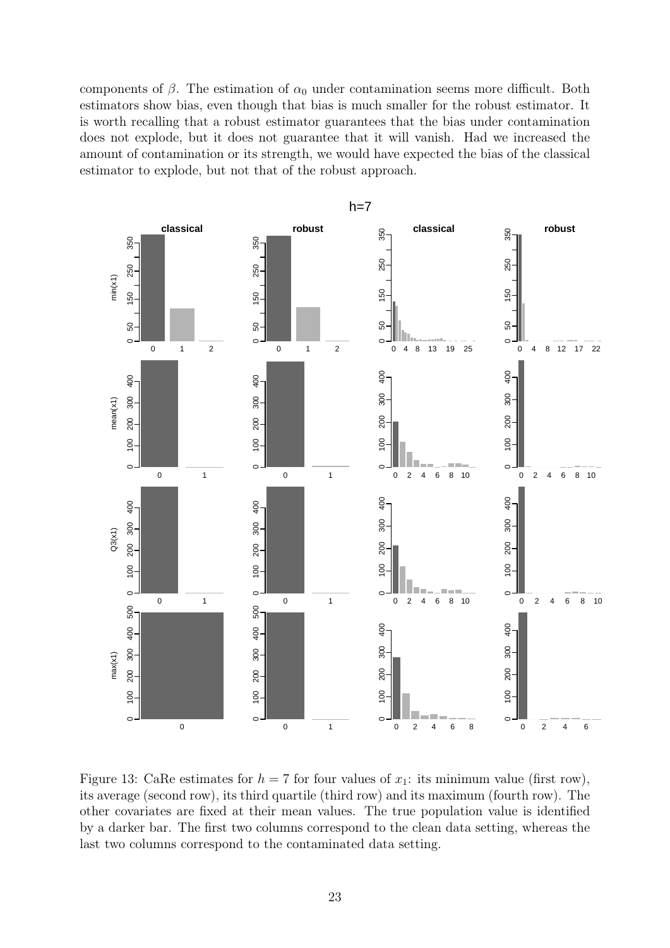components of  $\beta$ . The estimation of  $\alpha_0$  under contamination seems more difficult. Both estimators show bias, even though that bias is much smaller for the robust estimator. It is worth recalling that a robust estimator guarantees that the bias under contamination does not explode, but it does not guarantee that it will vanish. Had we increased the amount of contamination or its strength, we would have expected the bias of the classical estimator to explode, but not that of the robust approach.



<span id="page-22-0"></span>Figure 13: CaRe estimates for  $h = 7$  for four values of  $x_1$ : its minimum value (first row), its average (second row), its third quartile (third row) and its maximum (fourth row). The other covariates are fixed at their mean values. The true population value is identified by a darker bar. The first two columns correspond to the clean data setting, whereas the last two columns correspond to the contaminated data setting.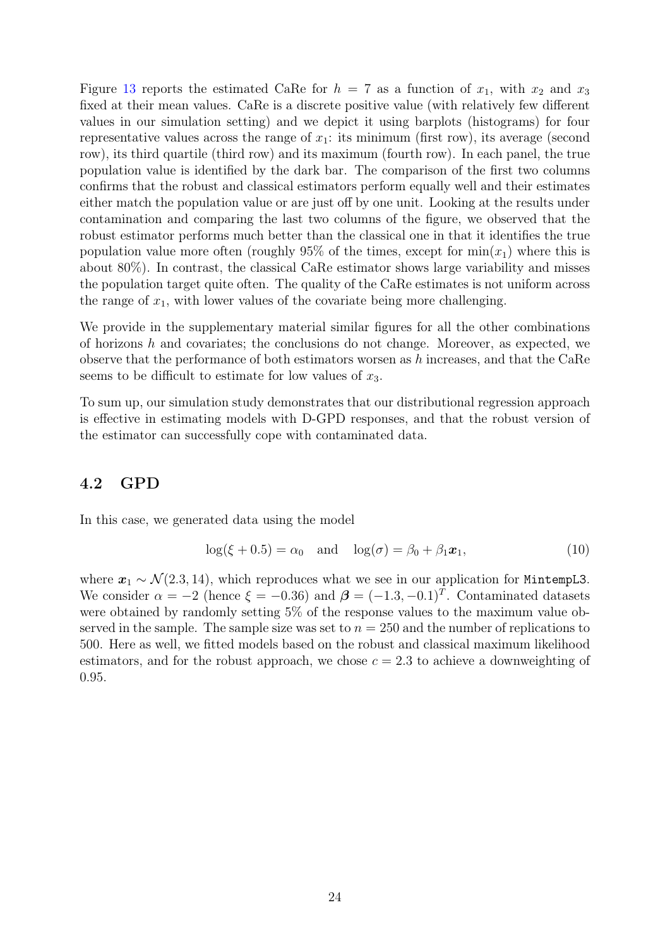Figure [13](#page-22-0) reports the estimated CaRe for  $h = 7$  as a function of  $x_1$ , with  $x_2$  and  $x_3$ fixed at their mean values. CaRe is a discrete positive value (with relatively few different values in our simulation setting) and we depict it using barplots (histograms) for four representative values across the range of  $x_1$ : its minimum (first row), its average (second row), its third quartile (third row) and its maximum (fourth row). In each panel, the true population value is identified by the dark bar. The comparison of the first two columns confirms that the robust and classical estimators perform equally well and their estimates either match the population value or are just off by one unit. Looking at the results under contamination and comparing the last two columns of the figure, we observed that the robust estimator performs much better than the classical one in that it identifies the true population value more often (roughly  $95\%$  of the times, except for  $min(x_1)$  where this is about 80%). In contrast, the classical CaRe estimator shows large variability and misses the population target quite often. The quality of the CaRe estimates is not uniform across the range of  $x_1$ , with lower values of the covariate being more challenging.

We provide in the supplementary material similar figures for all the other combinations of horizons  $h$  and covariates; the conclusions do not change. Moreover, as expected, we observe that the performance of both estimators worsen as h increases, and that the CaRe seems to be difficult to estimate for low values of  $x_3$ .

To sum up, our simulation study demonstrates that our distributional regression approach is effective in estimating models with D-GPD responses, and that the robust version of the estimator can successfully cope with contaminated data.

#### 4.2 GPD

In this case, we generated data using the model

<span id="page-23-0"></span>
$$
\log(\xi + 0.5) = \alpha_0 \quad \text{and} \quad \log(\sigma) = \beta_0 + \beta_1 \boldsymbol{x}_1,\tag{10}
$$

where  $x_1 \sim \mathcal{N}(2.3, 14)$ , which reproduces what we see in our application for MintempL3. We consider  $\alpha = -2$  (hence  $\xi = -0.36$ ) and  $\beta = (-1.3, -0.1)^T$ . Contaminated datasets were obtained by randomly setting 5% of the response values to the maximum value observed in the sample. The sample size was set to  $n = 250$  and the number of replications to 500. Here as well, we fitted models based on the robust and classical maximum likelihood estimators, and for the robust approach, we chose  $c = 2.3$  to achieve a downweighting of 0.95.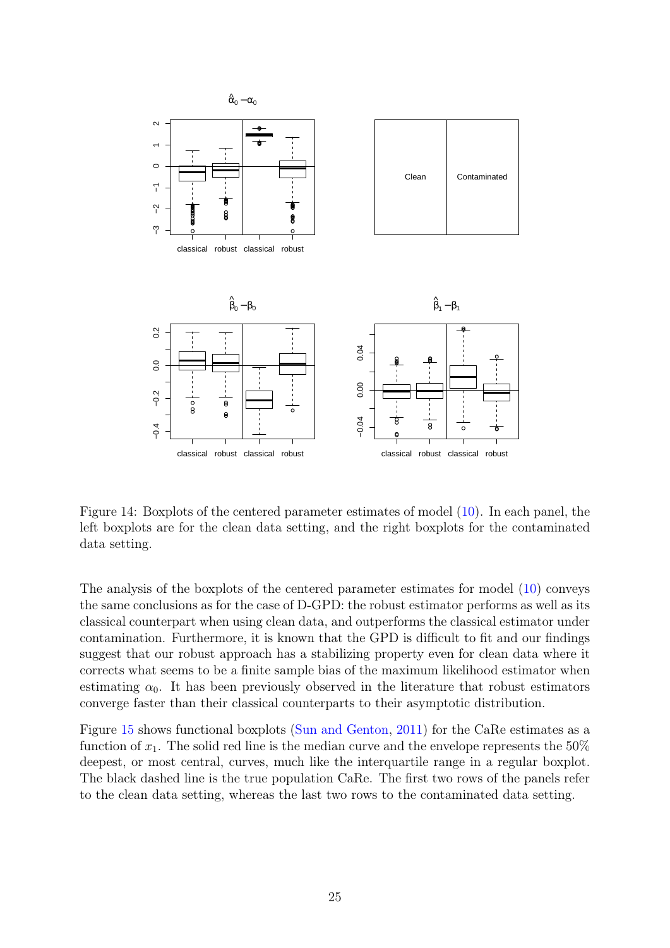

Figure 14: Boxplots of the centered parameter estimates of model [\(10\)](#page-23-0). In each panel, the left boxplots are for the clean data setting, and the right boxplots for the contaminated data setting.

The analysis of the boxplots of the centered parameter estimates for model [\(10\)](#page-23-0) conveys the same conclusions as for the case of D-GPD: the robust estimator performs as well as its classical counterpart when using clean data, and outperforms the classical estimator under contamination. Furthermore, it is known that the GPD is difficult to fit and our findings suggest that our robust approach has a stabilizing property even for clean data where it corrects what seems to be a finite sample bias of the maximum likelihood estimator when estimating  $\alpha_0$ . It has been previously observed in the literature that robust estimators converge faster than their classical counterparts to their asymptotic distribution.

Figure [15](#page-25-0) shows functional boxplots [\(Sun and Genton,](#page-27-16) [2011\)](#page-27-16) for the CaRe estimates as a function of  $x_1$ . The solid red line is the median curve and the envelope represents the 50% deepest, or most central, curves, much like the interquartile range in a regular boxplot. The black dashed line is the true population CaRe. The first two rows of the panels refer to the clean data setting, whereas the last two rows to the contaminated data setting.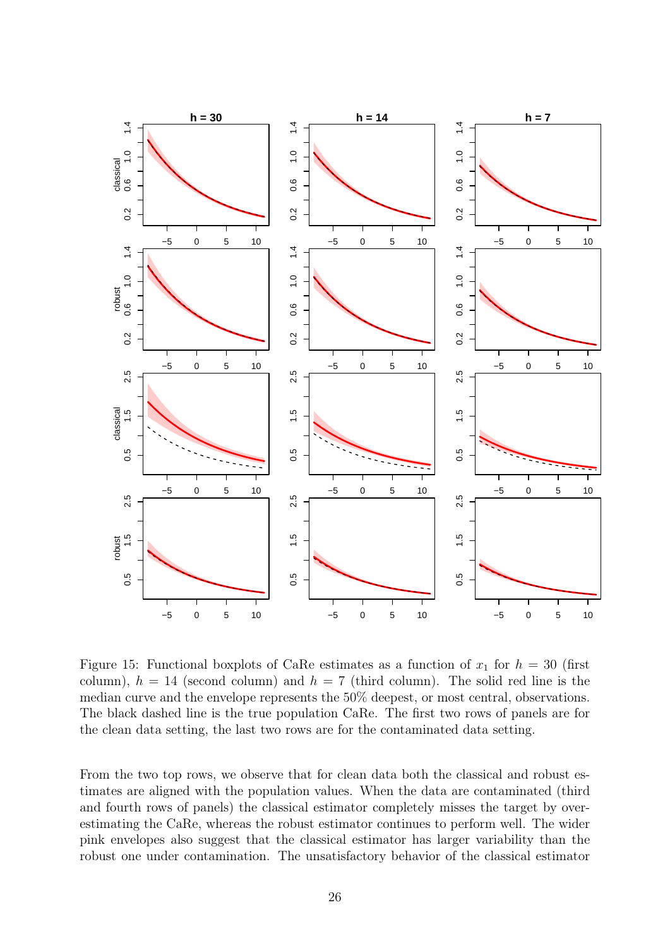

<span id="page-25-0"></span>Figure 15: Functional boxplots of CaRe estimates as a function of  $x_1$  for  $h = 30$  (first column),  $h = 14$  (second column) and  $h = 7$  (third column). The solid red line is the median curve and the envelope represents the 50% deepest, or most central, observations. The black dashed line is the true population CaRe. The first two rows of panels are for the clean data setting, the last two rows are for the contaminated data setting.

From the two top rows, we observe that for clean data both the classical and robust estimates are aligned with the population values. When the data are contaminated (third and fourth rows of panels) the classical estimator completely misses the target by overestimating the CaRe, whereas the robust estimator continues to perform well. The wider pink envelopes also suggest that the classical estimator has larger variability than the robust one under contamination. The unsatisfactory behavior of the classical estimator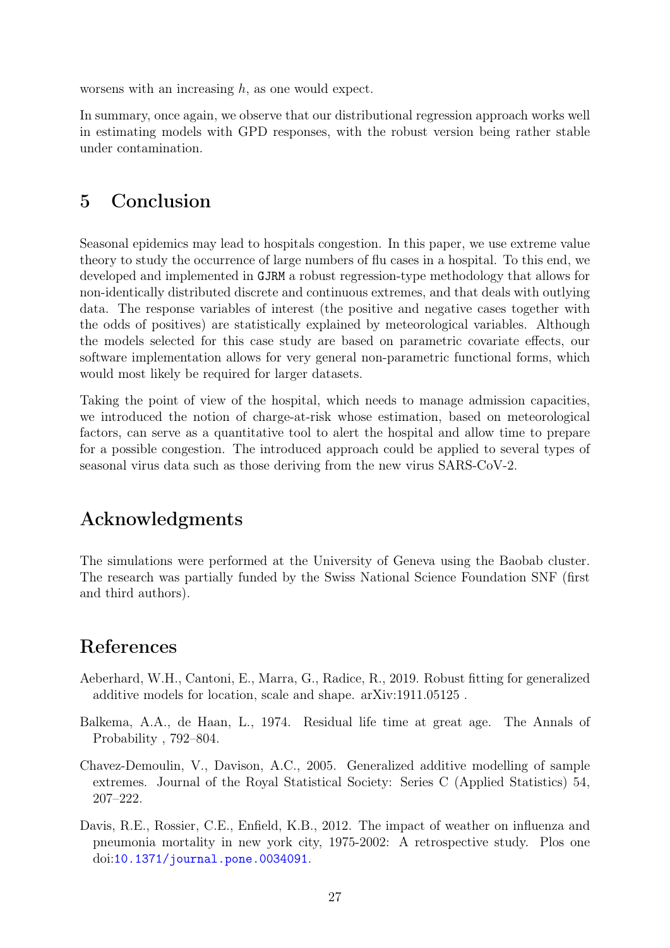worsens with an increasing h, as one would expect.

In summary, once again, we observe that our distributional regression approach works well in estimating models with GPD responses, with the robust version being rather stable under contamination.

### <span id="page-26-2"></span>5 Conclusion

Seasonal epidemics may lead to hospitals congestion. In this paper, we use extreme value theory to study the occurrence of large numbers of flu cases in a hospital. To this end, we developed and implemented in GJRM a robust regression-type methodology that allows for non-identically distributed discrete and continuous extremes, and that deals with outlying data. The response variables of interest (the positive and negative cases together with the odds of positives) are statistically explained by meteorological variables. Although the models selected for this case study are based on parametric covariate effects, our software implementation allows for very general non-parametric functional forms, which would most likely be required for larger datasets.

Taking the point of view of the hospital, which needs to manage admission capacities, we introduced the notion of charge-at-risk whose estimation, based on meteorological factors, can serve as a quantitative tool to alert the hospital and allow time to prepare for a possible congestion. The introduced approach could be applied to several types of seasonal virus data such as those deriving from the new virus SARS-CoV-2.

## Acknowledgments

The simulations were performed at the University of Geneva using the Baobab cluster. The research was partially funded by the Swiss National Science Foundation SNF (first and third authors).

## References

- <span id="page-26-1"></span>Aeberhard, W.H., Cantoni, E., Marra, G., Radice, R., 2019. Robust fitting for generalized additive models for location, scale and shape. arXiv:1911.05125 .
- <span id="page-26-3"></span>Balkema, A.A., de Haan, L., 1974. Residual life time at great age. The Annals of Probability , 792–804.
- <span id="page-26-4"></span>Chavez-Demoulin, V., Davison, A.C., 2005. Generalized additive modelling of sample extremes. Journal of the Royal Statistical Society: Series C (Applied Statistics) 54, 207–222.
- <span id="page-26-0"></span>Davis, R.E., Rossier, C.E., Enfield, K.B., 2012. The impact of weather on influenza and pneumonia mortality in new york city, 1975-2002: A retrospective study. Plos one doi:[10.1371/journal.pone.0034091](http://dx.doi.org/10.1371/journal.pone.0034091).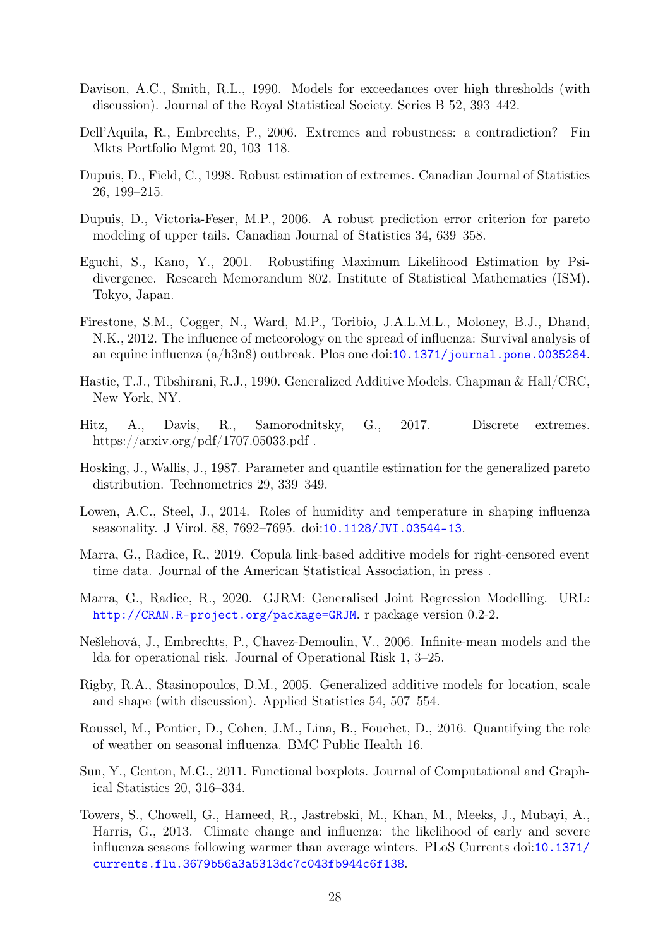- <span id="page-27-7"></span>Davison, A.C., Smith, R.L., 1990. Models for exceedances over high thresholds (with discussion). Journal of the Royal Statistical Society. Series B 52, 393–442.
- <span id="page-27-13"></span>Dell'Aquila, R., Embrechts, P., 2006. Extremes and robustness: a contradiction? Fin Mkts Portfolio Mgmt 20, 103–118.
- <span id="page-27-11"></span>Dupuis, D., Field, C., 1998. Robust estimation of extremes. Canadian Journal of Statistics 26, 199–215.
- <span id="page-27-12"></span>Dupuis, D., Victoria-Feser, M.P., 2006. A robust prediction error criterion for pareto modeling of upper tails. Canadian Journal of Statistics 34, 639–358.
- <span id="page-27-9"></span>Eguchi, S., Kano, Y., 2001. Robustifing Maximum Likelihood Estimation by Psidivergence. Research Memorandum 802. Institute of Statistical Mathematics (ISM). Tokyo, Japan.
- <span id="page-27-2"></span>Firestone, S.M., Cogger, N., Ward, M.P., Toribio, J.A.L.M.L., Moloney, B.J., Dhand, N.K., 2012. The influence of meteorology on the spread of influenza: Survival analysis of an equine influenza  $(a/h3n8)$  outbreak. Plos one doi:[10.1371/journal.pone.0035284](http://dx.doi.org/10.1371/journal.pone.0035284).
- <span id="page-27-8"></span>Hastie, T.J., Tibshirani, R.J., 1990. Generalized Additive Models. Chapman & Hall/CRC, New York, NY.
- <span id="page-27-4"></span>Hitz, A., Davis, R., Samorodnitsky, G., 2017. Discrete extremes. https://arxiv.org/pdf/1707.05033.pdf .
- <span id="page-27-15"></span>Hosking, J., Wallis, J., 1987. Parameter and quantile estimation for the generalized pareto distribution. Technometrics 29, 339–349.
- <span id="page-27-3"></span>Lowen, A.C., Steel, J., 2014. Roles of humidity and temperature in shaping influenza seasonality. J Virol. 88, 7692–7695. doi:[10.1128/JVI.03544-13](http://dx.doi.org/10.1128/JVI.03544-13).
- <span id="page-27-10"></span>Marra, G., Radice, R., 2019. Copula link-based additive models for right-censored event time data. Journal of the American Statistical Association, in press .
- <span id="page-27-6"></span>Marra, G., Radice, R., 2020. GJRM: Generalised Joint Regression Modelling. URL: <http://CRAN.R-project.org/package=GRJM>. r package version 0.2-2.
- <span id="page-27-14"></span>Nešlehová, J., Embrechts, P., Chavez-Demoulin, V., 2006. Infinite-mean models and the lda for operational risk. Journal of Operational Risk 1, 3–25.
- <span id="page-27-5"></span>Rigby, R.A., Stasinopoulos, D.M., 2005. Generalized additive models for location, scale and shape (with discussion). Applied Statistics 54, 507–554.
- <span id="page-27-0"></span>Roussel, M., Pontier, D., Cohen, J.M., Lina, B., Fouchet, D., 2016. Quantifying the role of weather on seasonal influenza. BMC Public Health 16.
- <span id="page-27-16"></span>Sun, Y., Genton, M.G., 2011. Functional boxplots. Journal of Computational and Graphical Statistics 20, 316–334.
- <span id="page-27-1"></span>Towers, S., Chowell, G., Hameed, R., Jastrebski, M., Khan, M., Meeks, J., Mubayi, A., Harris, G., 2013. Climate change and influenza: the likelihood of early and severe influenza seasons following warmer than average winters. PLoS Currents doi:[10.1371/](http://dx.doi.org/10.1371/currents.flu.3679b56a3a5313dc7c043fb944c6f138) [currents.flu.3679b56a3a5313dc7c043fb944c6f138](http://dx.doi.org/10.1371/currents.flu.3679b56a3a5313dc7c043fb944c6f138).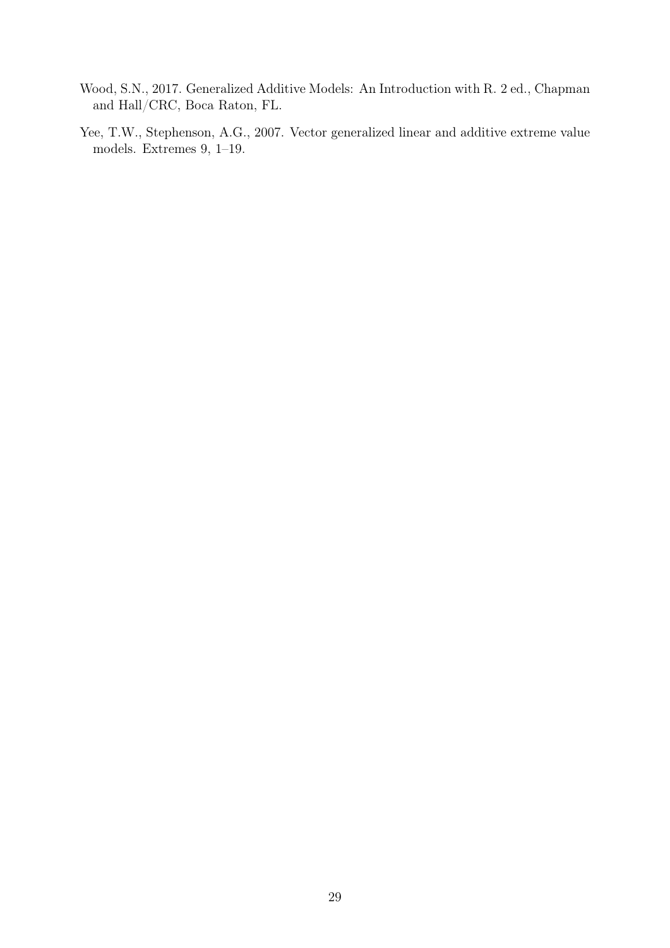- <span id="page-28-0"></span>Wood, S.N., 2017. Generalized Additive Models: An Introduction with R. 2 ed., Chapman and Hall/CRC, Boca Raton, FL.
- <span id="page-28-1"></span>Yee, T.W., Stephenson, A.G., 2007. Vector generalized linear and additive extreme value models. Extremes 9, 1–19.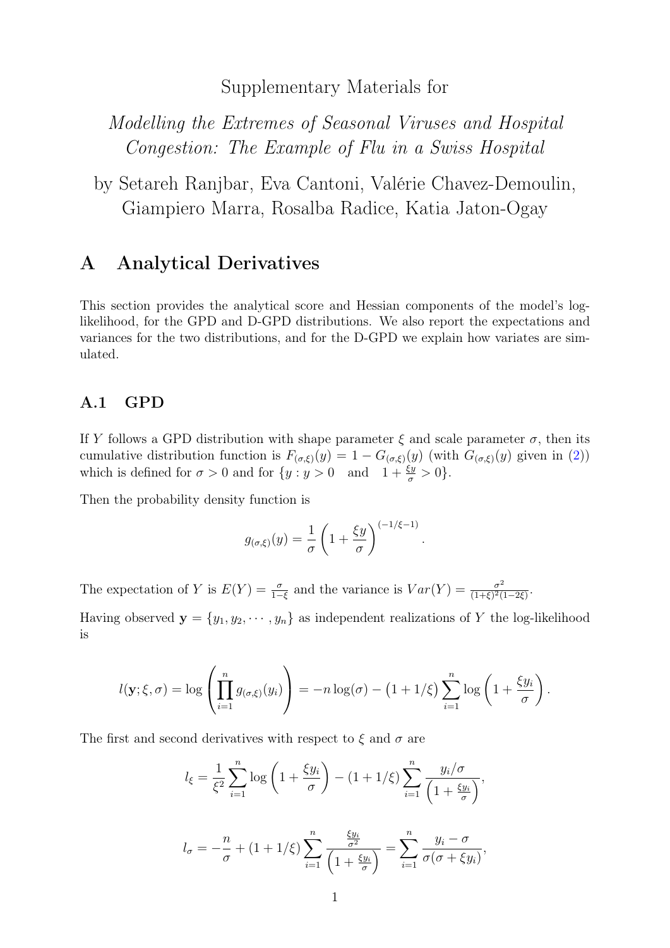### Supplementary Materials for

Modelling the Extremes of Seasonal Viruses and Hospital Congestion: The Example of Flu in a Swiss Hospital

## by Setareh Ranjbar, Eva Cantoni, Valérie Chavez-Demoulin, Giampiero Marra, Rosalba Radice, Katia Jaton-Ogay

## <span id="page-29-0"></span>A Analytical Derivatives

This section provides the analytical score and Hessian components of the model's loglikelihood, for the GPD and D-GPD distributions. We also report the expectations and variances for the two distributions, and for the D-GPD we explain how variates are simulated.

### A.1 GPD

If Y follows a GPD distribution with shape parameter  $\xi$  and scale parameter  $\sigma$ , then its cumulative distribution function is  $F_{(\sigma,\xi)}(y) = 1 - G_{(\sigma,\xi)}(y)$  (with  $G_{(\sigma,\xi)}(y)$  given in [\(2\)](#page-4-3)) which is defined for  $\sigma > 0$  and for  $\{y : y > 0 \text{ and } 1 + \frac{\xi y}{\sigma} > 0\}.$ 

Then the probability density function is

$$
g_{(\sigma,\xi)}(y) = \frac{1}{\sigma} \left( 1 + \frac{\xi y}{\sigma} \right)^{(-1/\xi - 1)}
$$

.

The expectation of Y is  $E(Y) = \frac{\sigma}{1-\xi}$  and the variance is  $Var(Y) = \frac{\sigma^2}{(1+\xi)^2}$  $\frac{\sigma^2}{(1+\xi)^2(1-2\xi)}$ .

Having observed  $y = \{y_1, y_2, \dots, y_n\}$  as independent realizations of Y the log-likelihood is

$$
l(\mathbf{y}; \xi, \sigma) = \log \left( \prod_{i=1}^n g_{(\sigma, \xi)}(y_i) \right) = -n \log(\sigma) - (1 + 1/\xi) \sum_{i=1}^n \log \left( 1 + \frac{\xi y_i}{\sigma} \right).
$$

The first and second derivatives with respect to  $\xi$  and  $\sigma$  are

$$
l_{\xi} = \frac{1}{\xi^2} \sum_{i=1}^n \log \left( 1 + \frac{\xi y_i}{\sigma} \right) - (1 + 1/\xi) \sum_{i=1}^n \frac{y_i/\sigma}{\left( 1 + \frac{\xi y_i}{\sigma} \right)},
$$
  

$$
l_{\sigma} = -\frac{n}{\sigma} + (1 + 1/\xi) \sum_{i=1}^n \frac{\frac{\xi y_i}{\sigma^2}}{\left( 1 + \frac{\xi y_i}{\sigma} \right)} = \sum_{i=1}^n \frac{y_i - \sigma}{\sigma(\sigma + \xi y_i)},
$$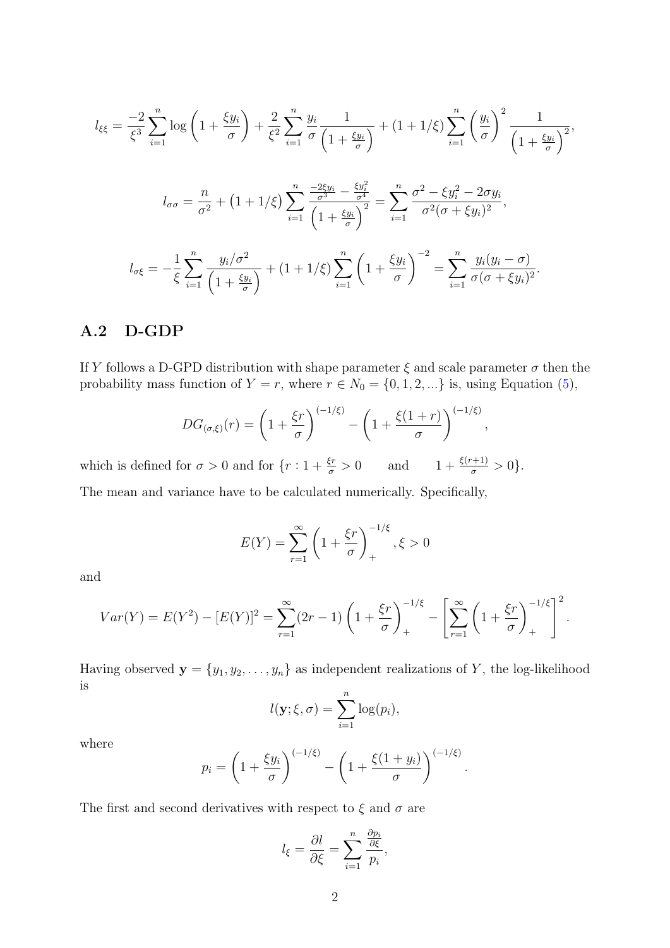$$
l_{\xi\xi} = \frac{-2}{\xi^3} \sum_{i=1}^n \log \left( 1 + \frac{\xi y_i}{\sigma} \right) + \frac{2}{\xi^2} \sum_{i=1}^n \frac{y_i}{\sigma} \frac{1}{\left( 1 + \frac{\xi y_i}{\sigma} \right)} + (1 + 1/\xi) \sum_{i=1}^n \left( \frac{y_i}{\sigma} \right)^2 \frac{1}{\left( 1 + \frac{\xi y_i}{\sigma} \right)^2},
$$
  

$$
l_{\sigma\sigma} = \frac{n}{\sigma^2} + (1 + 1/\xi) \sum_{i=1}^n \frac{\frac{-2\xi y_i}{\sigma^3} - \frac{\xi y_i^2}{\sigma^4}}{\left( 1 + \frac{\xi y_i}{\sigma} \right)^2} = \sum_{i=1}^n \frac{\sigma^2 - \xi y_i^2 - 2\sigma y_i}{\sigma^2 (\sigma + \xi y_i)^2},
$$
  

$$
l_{\sigma\xi} = -\frac{1}{\xi} \sum_{i=1}^n \frac{y_i/\sigma^2}{\left( 1 + \frac{\xi y_i}{\sigma} \right)} + (1 + 1/\xi) \sum_{i=1}^n \left( 1 + \frac{\xi y_i}{\sigma} \right)^{-2} = \sum_{i=1}^n \frac{y_i (y_i - \sigma)}{\sigma (\sigma + \xi y_i)^2}.
$$

### A.2 D-GDP

If Y follows a D-GPD distribution with shape parameter  $\xi$  and scale parameter  $\sigma$  then the probability mass function of  $Y = r$ , where  $r \in N_0 = \{0, 1, 2, ...\}$  is, using Equation [\(5\)](#page-6-1),

$$
DG_{(\sigma,\xi)}(r)=\left(1+\frac{\xi r}{\sigma}\right)^{(-1/\xi)}-\left(1+\frac{\xi(1+r)}{\sigma}\right)^{(-1/\xi)},
$$

which is defined for  $\sigma > 0$  and for  $\{r : 1 + \frac{\xi r}{\sigma} > 0$  and  $1 + \frac{\xi(r+1)}{\sigma} > 0\}.$ 

The mean and variance have to be calculated numerically. Specifically,

$$
E(Y) = \sum_{r=1}^{\infty} \left( 1 + \frac{\xi r}{\sigma} \right)_+^{-1/\xi}, \xi > 0
$$

and

$$
Var(Y) = E(Y^{2}) - [E(Y)]^{2} = \sum_{r=1}^{\infty} (2r - 1) \left( 1 + \frac{\xi r}{\sigma} \right)_{+}^{-1/\xi} - \left[ \sum_{r=1}^{\infty} \left( 1 + \frac{\xi r}{\sigma} \right)_{+}^{-1/\xi} \right]^{2}.
$$

Having observed  $y = \{y_1, y_2, \dots, y_n\}$  as independent realizations of Y, the log-likelihood is

$$
l(\mathbf{y}; \xi, \sigma) = \sum_{i=1}^{n} \log(p_i),
$$

where

$$
p_i = \left(1 + \frac{\xi y_i}{\sigma}\right)^{(-1/\xi)} - \left(1 + \frac{\xi(1 + y_i)}{\sigma}\right)^{(-1/\xi)}.
$$

The first and second derivatives with respect to  $\xi$  and  $\sigma$  are

$$
l_{\xi} = \frac{\partial l}{\partial \xi} = \sum_{i=1}^{n} \frac{\frac{\partial p_{i}}{\partial \xi}}{p_{i}},
$$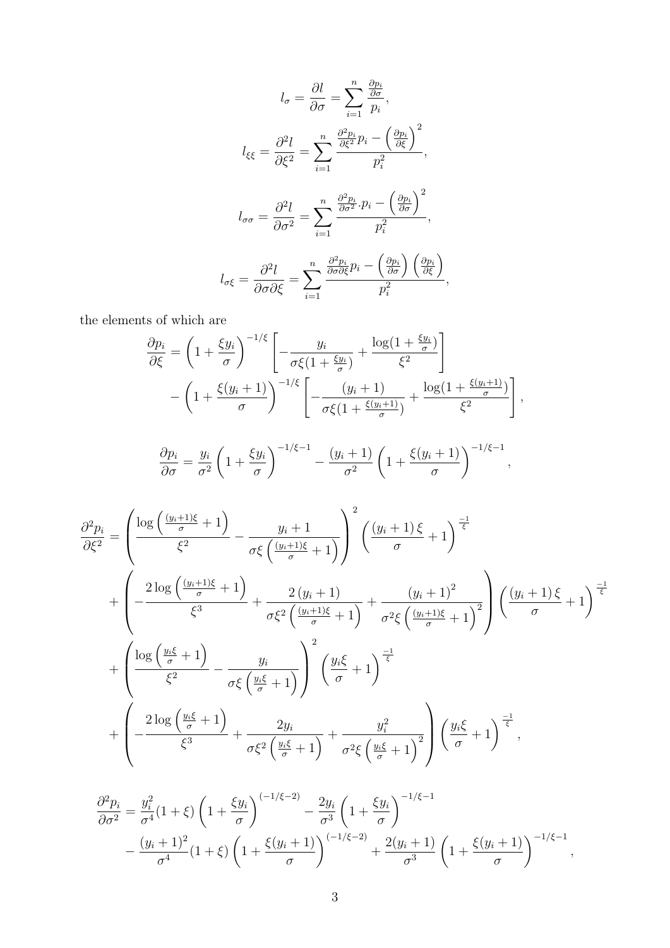$$
l_{\sigma} = \frac{\partial l}{\partial \sigma} = \sum_{i=1}^{n} \frac{\frac{\partial p_{i}}{\partial \sigma}}{p_{i}},
$$

$$
l_{\xi\xi} = \frac{\partial^{2} l}{\partial \xi^{2}} = \sum_{i=1}^{n} \frac{\frac{\partial^{2} p_{i}}{\partial \xi^{2}} p_{i} - \left(\frac{\partial p_{i}}{\partial \xi}\right)^{2}}{p_{i}^{2}},
$$

$$
l_{\sigma\sigma} = \frac{\partial^{2} l}{\partial \sigma^{2}} = \sum_{i=1}^{n} \frac{\frac{\partial^{2} p_{i}}{\partial \sigma^{2}} \cdot p_{i} - \left(\frac{\partial p_{i}}{\partial \sigma}\right)^{2}}{p_{i}^{2}},
$$

$$
l_{\sigma\xi} = \frac{\partial^{2} l}{\partial \sigma \partial \xi} = \sum_{i=1}^{n} \frac{\frac{\partial^{2} p_{i}}{\partial \sigma \partial \xi} p_{i} - \left(\frac{\partial p_{i}}{\partial \sigma}\right) \left(\frac{\partial p_{i}}{\partial \xi}\right)}{p_{i}^{2}},
$$

the elements of which are

$$
\frac{\partial p_i}{\partial \xi} = \left(1 + \frac{\xi y_i}{\sigma}\right)^{-1/\xi} \left[-\frac{y_i}{\sigma \xi (1 + \frac{\xi y_i}{\sigma})} + \frac{\log(1 + \frac{\xi y_i}{\sigma})}{\xi^2}\right] - \left(1 + \frac{\xi (y_i + 1)}{\sigma}\right)^{-1/\xi} \left[-\frac{(y_i + 1)}{\sigma \xi (1 + \frac{\xi (y_i + 1)}{\sigma})} + \frac{\log(1 + \frac{\xi (y_i + 1)}{\sigma})}{\xi^2}\right],
$$

$$
\frac{\partial p_i}{\partial \sigma} = \frac{y_i}{\sigma^2} \left( 1 + \frac{\xi y_i}{\sigma} \right)^{-1/\xi - 1} - \frac{(y_i + 1)}{\sigma^2} \left( 1 + \frac{\xi (y_i + 1)}{\sigma} \right)^{-1/\xi - 1},
$$

$$
\frac{\partial^2 p_i}{\partial \xi^2} = \left( \frac{\log \left( \frac{(y_i+1)\xi}{\sigma} + 1 \right)}{\xi^2} - \frac{y_i + 1}{\sigma \xi \left( \frac{(y_i+1)\xi}{\sigma} + 1 \right)} \right)^2 \left( \frac{(y_i+1)\xi}{\sigma} + 1 \right)^{\frac{-1}{\xi}}
$$
\n
$$
+ \left( -\frac{2 \log \left( \frac{(y_i+1)\xi}{\sigma} + 1 \right)}{\xi^3} + \frac{2 (y_i+1)}{\sigma \xi^2 \left( \frac{(y_i+1)\xi}{\sigma} + 1 \right)} + \frac{(y_i+1)^2}{\sigma^2 \xi \left( \frac{(y_i+1)\xi}{\sigma} + 1 \right)^2} \right) \left( \frac{(y_i+1)\xi}{\sigma} + 1 \right)^{\frac{-1}{\xi}}
$$
\n
$$
+ \left( \frac{\log \left( \frac{y_i \xi}{\sigma} + 1 \right)}{\xi^2} - \frac{y_i}{\sigma \xi \left( \frac{y_i \xi}{\sigma} + 1 \right)} \right)^2 \left( \frac{y_i \xi}{\sigma} + 1 \right)^{\frac{-1}{\xi}}
$$
\n
$$
+ \left( -\frac{2 \log \left( \frac{y_i \xi}{\sigma} + 1 \right)}{\xi^3} + \frac{2 y_i}{\sigma \xi^2 \left( \frac{y_i \xi}{\sigma} + 1 \right)} + \frac{y_i^2}{\sigma^2 \xi \left( \frac{y_i \xi}{\sigma} + 1 \right)^2} \right) \left( \frac{y_i \xi}{\sigma} + 1 \right)^{\frac{-1}{\xi}},
$$

$$
\frac{\partial^2 p_i}{\partial \sigma^2} = \frac{y_i^2}{\sigma^4} (1 + \xi) \left( 1 + \frac{\xi y_i}{\sigma} \right)^{(-1/\xi - 2)} - \frac{2y_i}{\sigma^3} \left( 1 + \frac{\xi y_i}{\sigma} \right)^{-1/\xi - 1} - \frac{(y_i + 1)^2}{\sigma^4} (1 + \xi) \left( 1 + \frac{\xi (y_i + 1)}{\sigma} \right)^{(-1/\xi - 2)} + \frac{2(y_i + 1)}{\sigma^3} \left( 1 + \frac{\xi (y_i + 1)}{\sigma} \right)^{-1/\xi - 1},
$$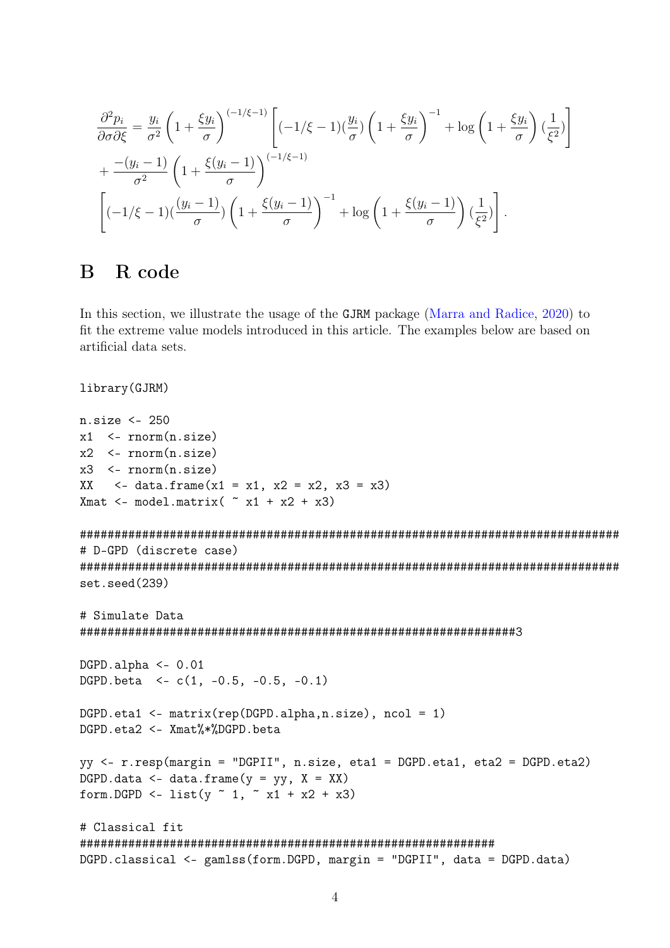$$
\frac{\partial^2 p_i}{\partial \sigma \partial \xi} = \frac{y_i}{\sigma^2} \left( 1 + \frac{\xi y_i}{\sigma} \right)^{(-1/\xi - 1)} \left[ (-1/\xi - 1) \left( \frac{y_i}{\sigma} \right) \left( 1 + \frac{\xi y_i}{\sigma} \right)^{-1} + \log \left( 1 + \frac{\xi y_i}{\sigma} \right) \left( \frac{1}{\xi^2} \right) \right]
$$

$$
+ \frac{-(y_i - 1)}{\sigma^2} \left( 1 + \frac{\xi (y_i - 1)}{\sigma} \right)^{(-1/\xi - 1)} \left[ (-1/\xi - 1) \left( \frac{(y_i - 1)}{\sigma} \right) \left( 1 + \frac{\xi (y_i - 1)}{\sigma} \right)^{-1} + \log \left( 1 + \frac{\xi (y_i - 1)}{\sigma} \right) \left( \frac{1}{\xi^2} \right) \right].
$$

## <span id="page-32-0"></span>B R code

In this section, we illustrate the usage of the GJRM package [\(Marra and Radice,](#page-27-6) [2020\)](#page-27-6) to fit the extreme value models introduced in this article. The examples below are based on artificial data sets.

```
library(GJRM)
```

```
n.size <- 250
x1 \leftarrow \text{norm}(n.size)x2 \le- rnorm(n.size)x3 <- rnorm(n.size)
XX \leq - \text{data}.frame(x1 = x1, x2 = x2, x3 = x3)Xmat <- model.matrix( \tilde{x} x1 + x2 + x3)
##############################################################################
# D-GPD (discrete case)
##############################################################################
set.seed(239)
# Simulate Data
###############################################################3
DGPD.alpha <- 0.01
DGPD.beta \leq c(1, -0.5, -0.5, -0.1)DGPD.eta1 <- matrix(rep(DGPD.alpha,n.size), ncol = 1)
DGPD.eta2 <- Xmat%*%DGPD.beta
yy <- r.resp(margin = "DGPII", n.size, eta1 = DGPD.eta1, eta2 = DGPD.eta2)
DGPD.data <- data.frame(y = yy, X = XX)
form. DGPD <- list(y \degree 1, \degree x1 + x2 + x3)
# Classical fit
############################################################
DGPD.classical <- gamlss(form.DGPD, margin = "DGPII", data = DGPD.data)
```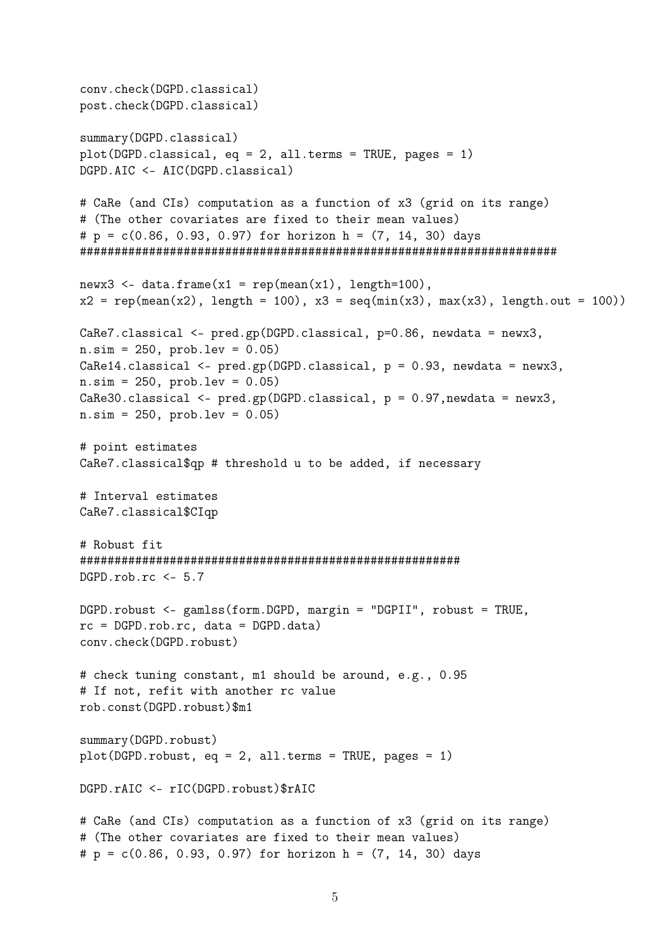```
conv.check(DGPD.classical)
post.check(DGPD.classical)
summary(DGPD.classical)
plot(DGPD.classical, eq = 2, all.terms = TRUE, pages = 1)
DGPD.AIC <- AIC(DGPD.classical)
# CaRe (and CIs) computation as a function of x3 (grid on its range)
# (The other covariates are fixed to their mean values)
# p = c(0.86, 0.93, 0.97) for horizon h = (7, 14, 30) days
#####################################################################
newx3 <- data.frame(x1 = rep(mean(x1), length=100),
x2 = rep(mean(x2), length = 100), x3 = seq(min(x3), max(x3), length.out = 100)CaRe7.classical <- pred.gp(DGPD.classical, p=0.86, newdata = newx3,
n.sim = 250, prob.lev = 0.05CaRe14.classical <- pred.gp(DGPD.classical, p = 0.93, newdata = newx3,
n.sim = 250, prob.lev = 0.05CaRe30.classical <- pred.gp(DGPD.classical, p = 0.97, newdata = newx3,
n.sim = 250, prob.lev = 0.05# point estimates
CaRe7.classical$qp # threshold u to be added, if necessary
# Interval estimates
CaRe7.classical$CIqp
# Robust fit
#######################################################
DGPD.rob.rc <- 5.7
DGPD.robust <- gamlss(form.DGPD, margin = "DGPII", robust = TRUE,
rc = DGPD.rob.rc, data = DGPD.data)conv.check(DGPD.robust)
# check tuning constant, m1 should be around, e.g., 0.95
# If not, refit with another rc value
rob.const(DGPD.robust)$m1
summary(DGPD.robust)
plot(DGPD.robust, eq = 2, all.terms = TRUE, pages = 1)
DGPD.rAIC <- rIC(DGPD.robust)$rAIC
# CaRe (and CIs) computation as a function of x3 (grid on its range)
# (The other covariates are fixed to their mean values)
# p = c(0.86, 0.93, 0.97) for horizon h = (7, 14, 30) days
```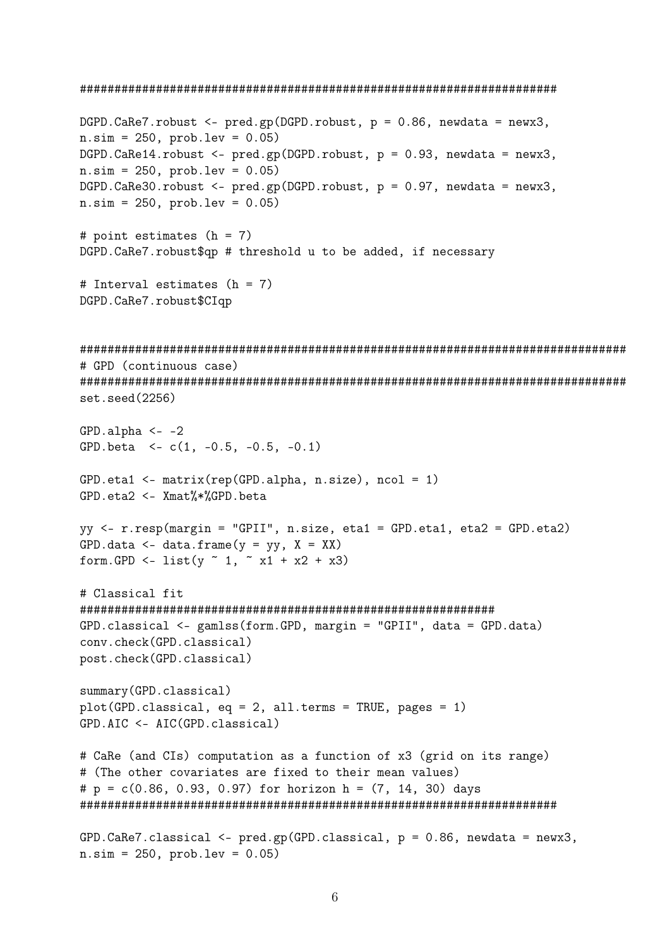```
#####################################################################
DGPD.CaRe7.robust <- pred.gp(DGPD.robust, p = 0.86, newdata = newx3,
n.sim = 250, prob.lev = 0.05DGPD.CaRe14.robust <- pred.gp(DGPD.robust, p = 0.93, newdata = newx3,
n.sim = 250, prob.lev = 0.05DGPD.CaRe30.robust <- pred.gp(DGPD.robust, p = 0.97, newdata = newx3,
n.sim = 250, prob.lev = 0.05# point estimates (h = 7)
DGPD.CaRe7.robust$qp # threshold u to be added, if necessary
# Interval estimates (h = 7)
DGPD.CaRe7.robust$CIqp
###############################################################################
# GPD (continuous case)
###############################################################################
set.seed(2256)
GPD.alpha \le -2GPD.beta \leq c(1, -0.5, -0.5, -0.1)GPD.eta1 <- matrix(rep(GPD.alpha, n.size), ncol = 1)
GPD.eta2 <- Xmat%*%GPD.beta
yy <- r.resp(margin = "GPII", n.size, eta1 = GPD.eta1, eta2 = GPD.eta2)
GPD.data <- data.frame(y = yy, X = XX)
form.GPD <- list(y \degree 1, \degree x1 + x2 + x3)
# Classical fit
############################################################
GPD.classical <- gamlss(form.GPD, margin = "GPII", data = GPD.data)
conv.check(GPD.classical)
post.check(GPD.classical)
summary(GPD.classical)
plot(GPD.classical, eq = 2, all.terms = TRUE, pages = 1)
GPD.AIC <- AIC(GPD.classical)
# CaRe (and CIs) computation as a function of x3 (grid on its range)
# (The other covariates are fixed to their mean values)
# p = c(0.86, 0.93, 0.97) for horizon h = (7, 14, 30) days
#####################################################################
GPD.CaRe7.classical <- pred.gp(GPD.classical, p = 0.86, newdata = newx3,
n.sim = 250, prob.lev = 0.05
```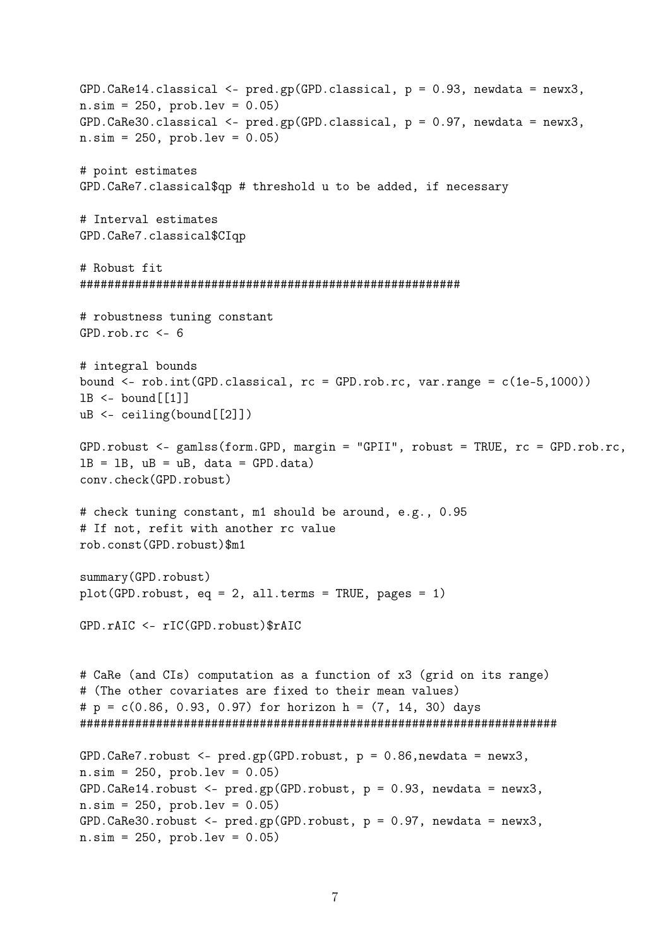```
GPD.CaRe14.classical <- pred.\text{gp}(GPD.classical, p = 0.93, newdata = new3,
n.sim = 250, prob.lev = 0.05GPD.CaRe30.classical <- pred.gp(GPD.classical, p = 0.97, newdata = newx3,
n.sim = 250, prob.lev = 0.05# point estimates
GPD.CaRe7.classical$qp # threshold u to be added, if necessary
# Interval estimates
GPD.CaRe7.classical$CIqp
# Robust fit
#######################################################
# robustness tuning constant
GPD.rob.rc <- 6
# integral bounds
bound \le- rob.int(GPD.classical, rc = GPD.rob.rc, var-range = c(1e-5,1000))1B \leq -\text{bound}[[1]]uB <- ceiling(bound[[2]])
GPD.robust <- gamlss(form.GPD, margin = "GPII", robust = TRUE, rc = GPD.rob.rc,
1B = 1B, uB = uB, data = GPD.data)
conv.check(GPD.robust)
# check tuning constant, m1 should be around, e.g., 0.95
# If not, refit with another rc value
rob.const(GPD.robust)$m1
summary(GPD.robust)
plot(GPD.robust, eq = 2, all.terms = TRUE, pages = 1)GPD.rAIC <- rIC(GPD.robust)$rAIC
# CaRe (and CIs) computation as a function of x3 (grid on its range)
# (The other covariates are fixed to their mean values)
# p = c(0.86, 0.93, 0.97) for horizon h = (7, 14, 30) days
#####################################################################
GPD.CaRe7.robust <- pred.\text{gp}(GPD.robust, p = 0.86, newdata = new3,
n.sim = 250, prob.lev = 0.05GPD.CaRe14.robust \leq pred.gp(GPD.robust, p = 0.93, newdata = newx3,
n.sim = 250, prob.lev = 0.05GPD.CaRe30.robust <- pred.\text{gp}(GPD.robust, p = 0.97, newdata = new3,
n.sim = 250, prob.lev = 0.05
```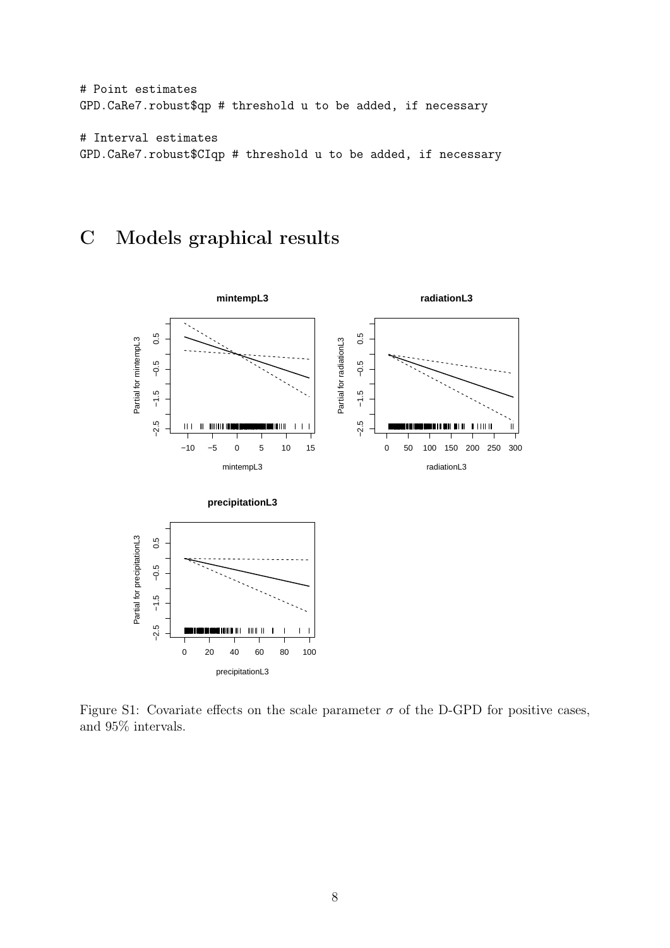```
# Point estimates
GPD.CaRe7.robust$qp # threshold u to be added, if necessary
# Interval estimates
```
GPD.CaRe7.robust\$CIqp # threshold u to be added, if necessary

## C Models graphical results



Figure S1: Covariate effects on the scale parameter  $\sigma$  of the D-GPD for positive cases, and 95% intervals.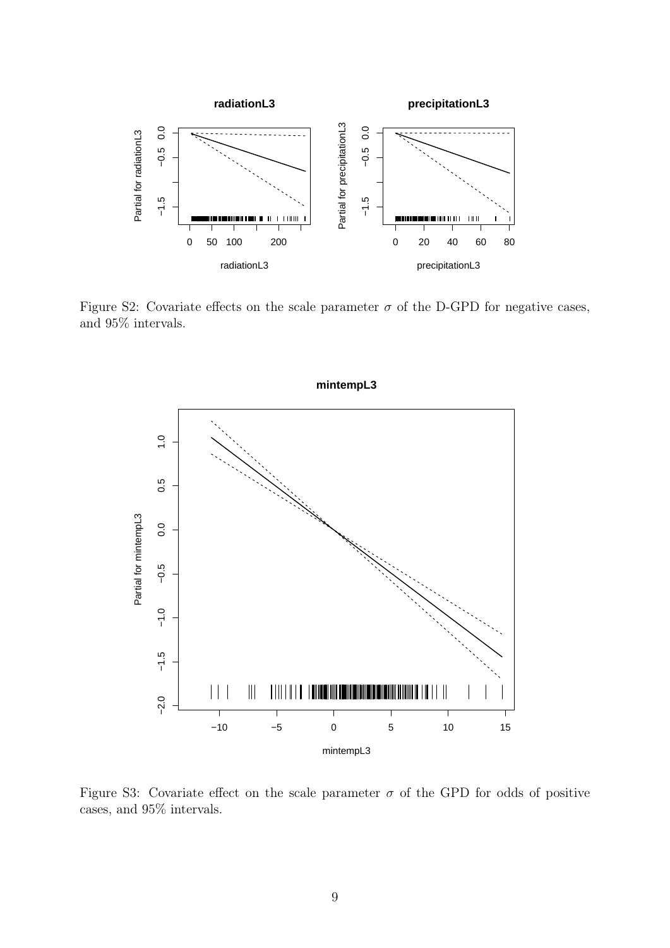

Figure S2: Covariate effects on the scale parameter  $\sigma$  of the D-GPD for negative cases, and 95% intervals.



Figure S3: Covariate effect on the scale parameter  $\sigma$  of the GPD for odds of positive cases, and 95% intervals.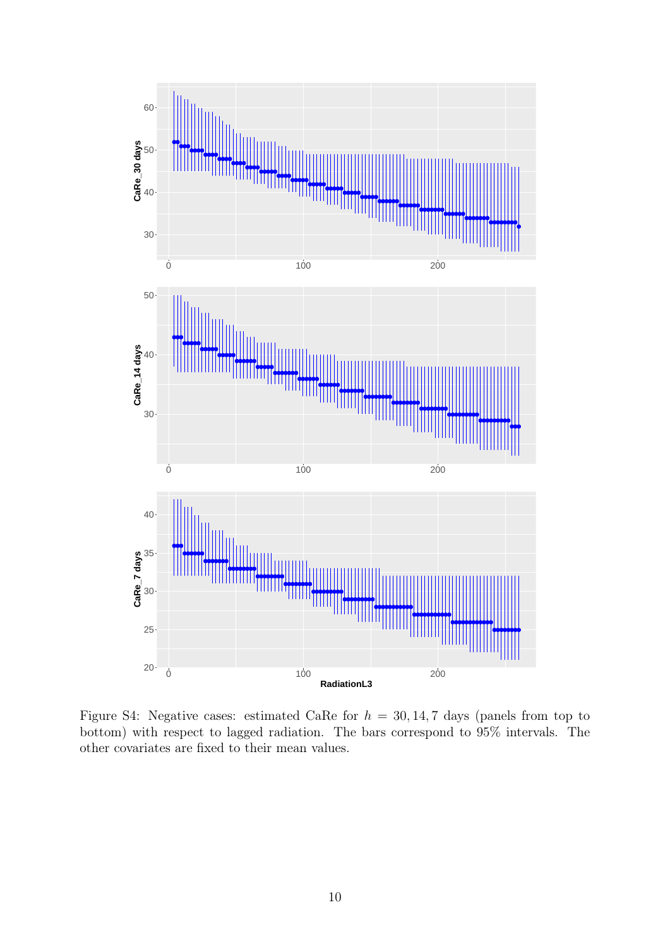

Figure S4: Negative cases: estimated CaRe for  $h = 30, 14, 7$  days (panels from top to bottom) with respect to lagged radiation. The bars correspond to 95% intervals. The other covariates are fixed to their mean values.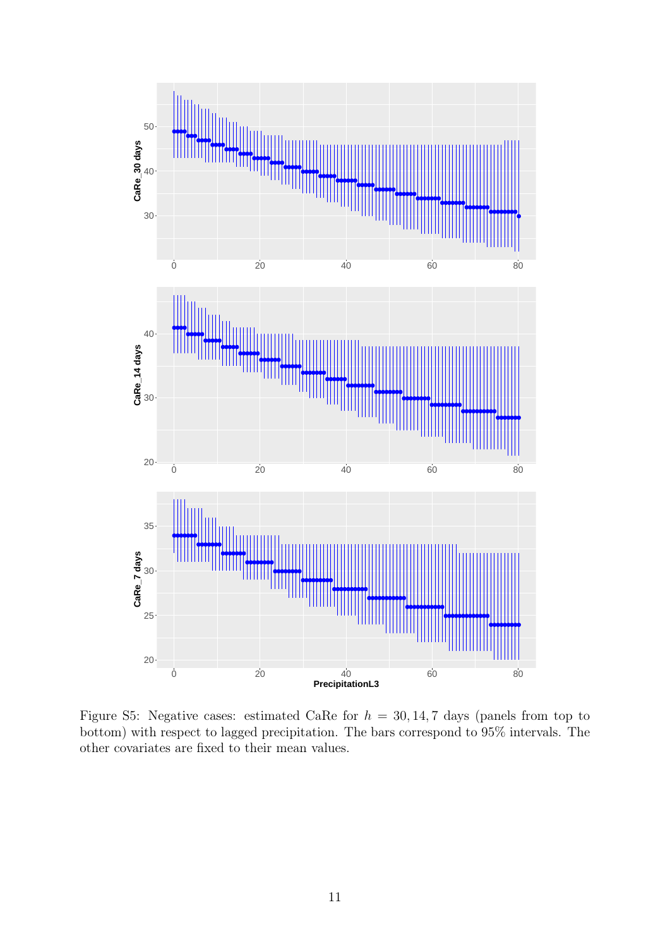

Figure S5: Negative cases: estimated CaRe for  $h = 30, 14, 7$  days (panels from top to bottom) with respect to lagged precipitation. The bars correspond to 95% intervals. The other covariates are fixed to their mean values.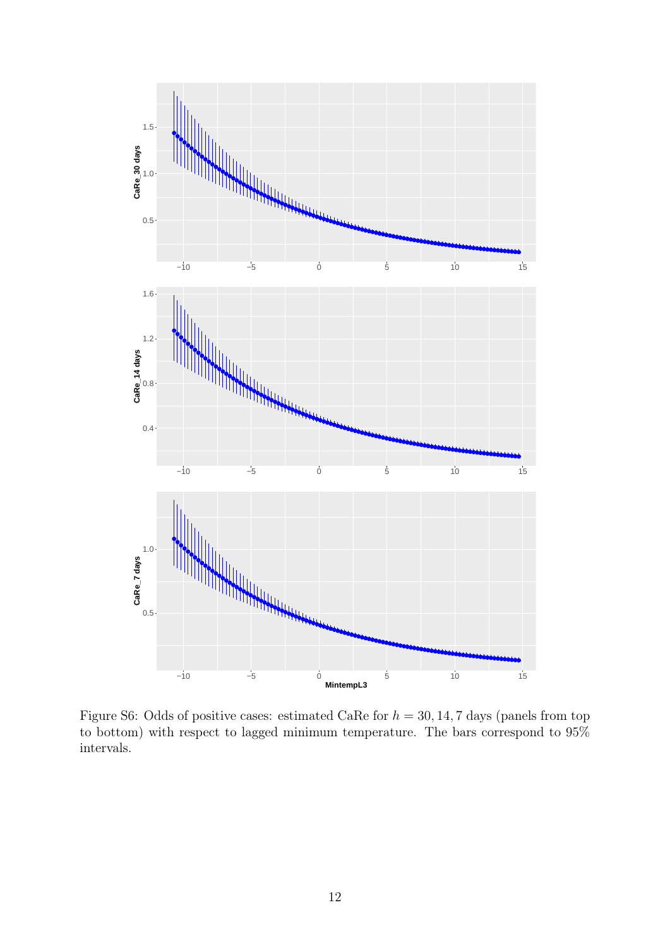

Figure S6: Odds of positive cases: estimated CaRe for  $h = 30, 14, 7$  days (panels from top to bottom) with respect to lagged minimum temperature. The bars correspond to 95% intervals.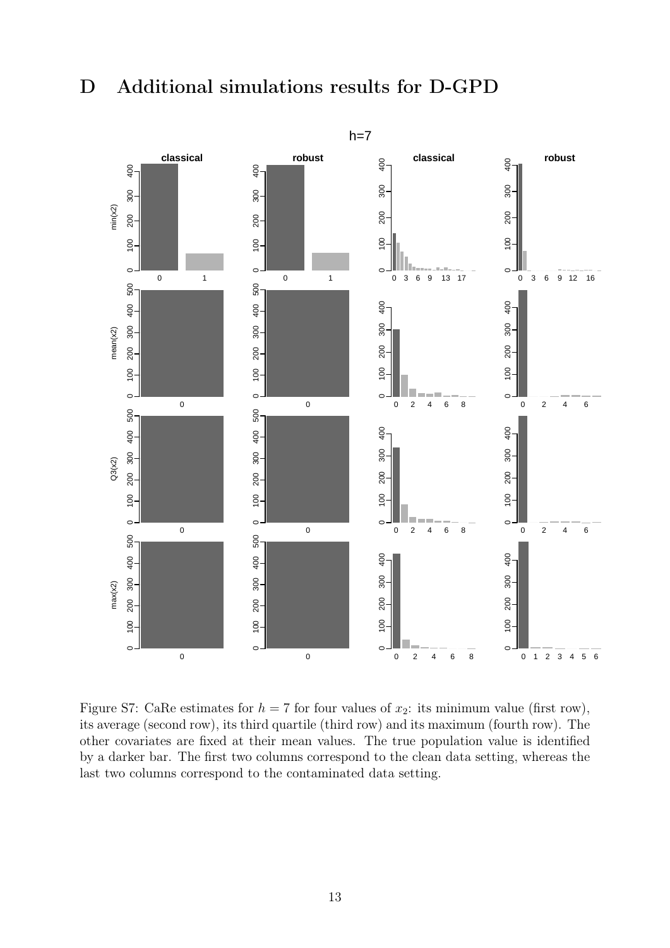



Figure S7: CaRe estimates for  $h = 7$  for four values of  $x_2$ : its minimum value (first row), its average (second row), its third quartile (third row) and its maximum (fourth row). The other covariates are fixed at their mean values. The true population value is identified by a darker bar. The first two columns correspond to the clean data setting, whereas the last two columns correspond to the contaminated data setting.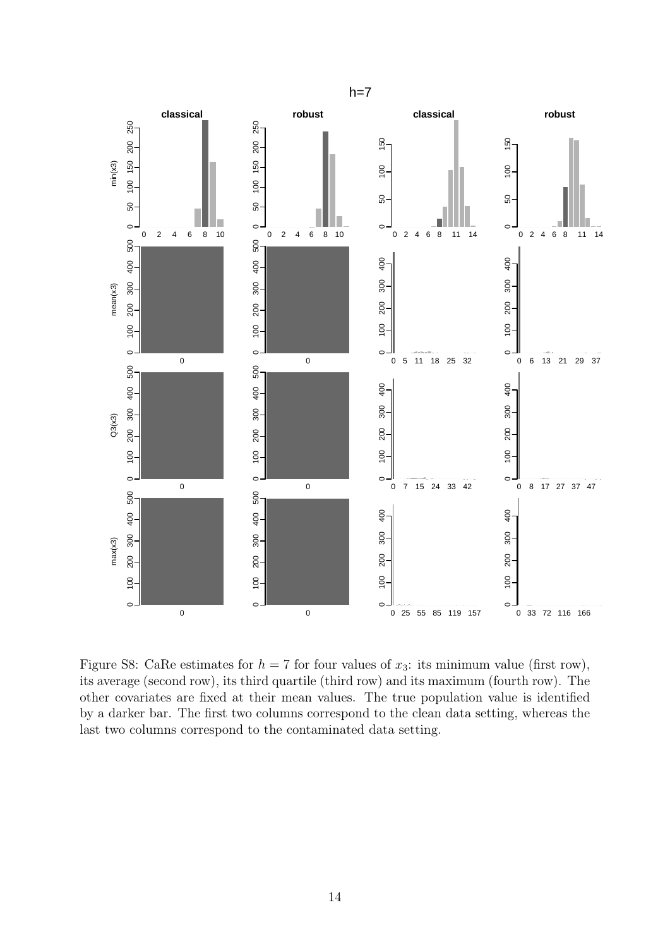

Figure S8: CaRe estimates for  $h = 7$  for four values of  $x_3$ : its minimum value (first row), its average (second row), its third quartile (third row) and its maximum (fourth row). The other covariates are fixed at their mean values. The true population value is identified by a darker bar. The first two columns correspond to the clean data setting, whereas the last two columns correspond to the contaminated data setting.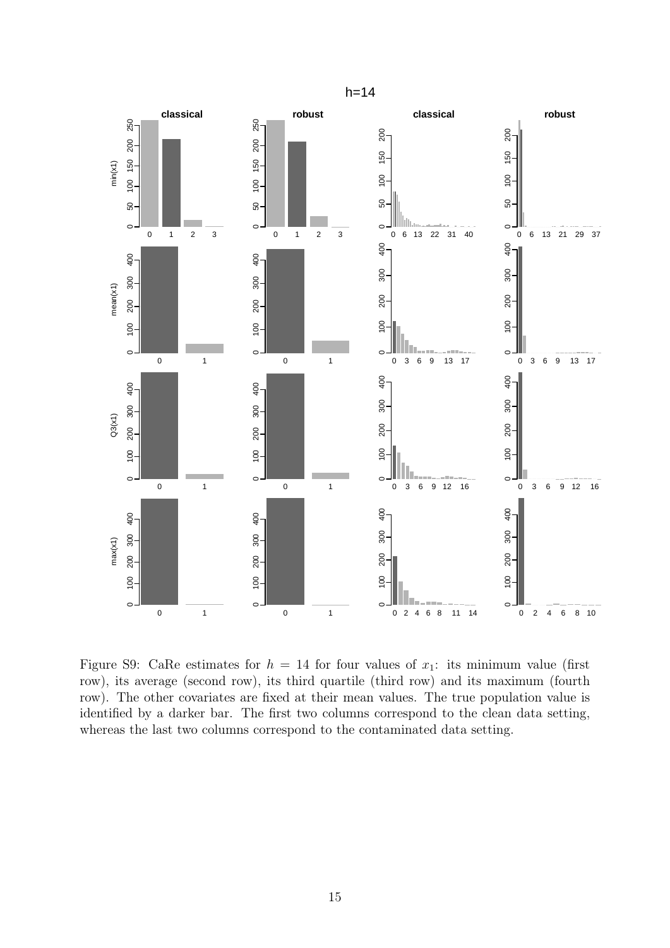

Figure S9: CaRe estimates for  $h = 14$  for four values of  $x_1$ : its minimum value (first row), its average (second row), its third quartile (third row) and its maximum (fourth row). The other covariates are fixed at their mean values. The true population value is identified by a darker bar. The first two columns correspond to the clean data setting, whereas the last two columns correspond to the contaminated data setting.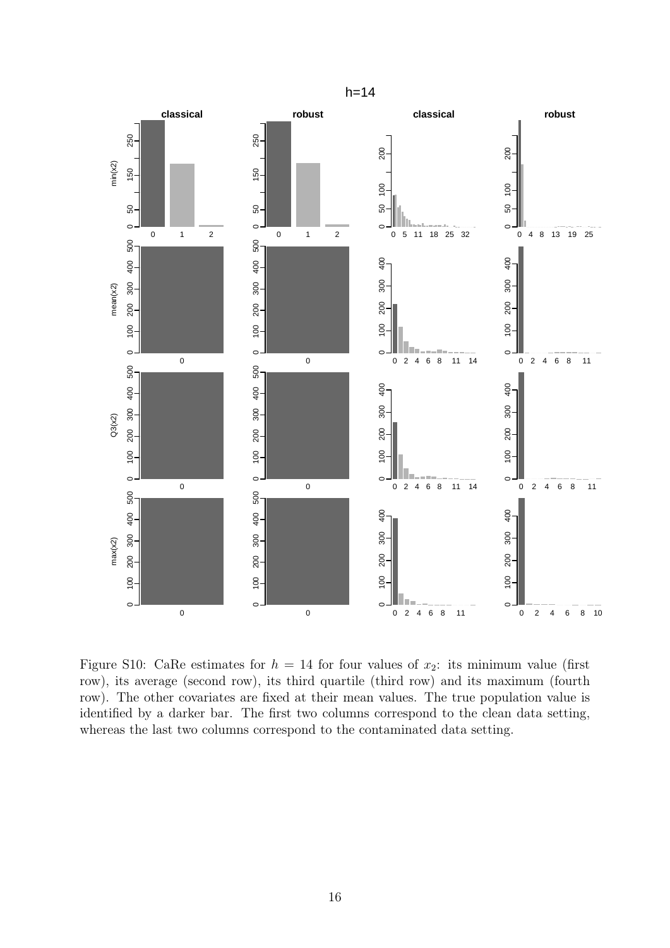

Figure S10: CaRe estimates for  $h = 14$  for four values of  $x_2$ : its minimum value (first row), its average (second row), its third quartile (third row) and its maximum (fourth row). The other covariates are fixed at their mean values. The true population value is identified by a darker bar. The first two columns correspond to the clean data setting, whereas the last two columns correspond to the contaminated data setting.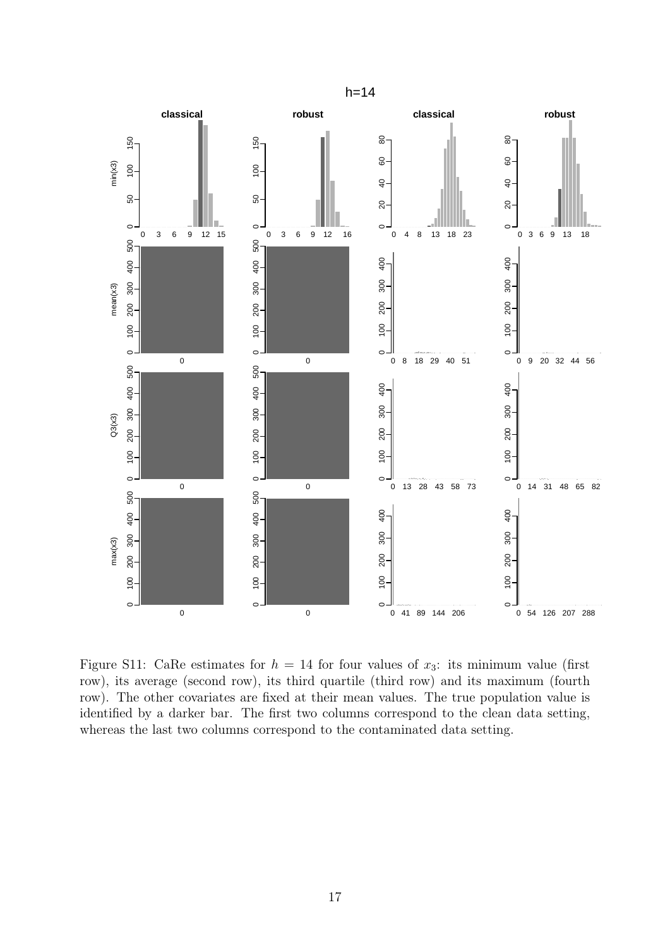

Figure S11: CaRe estimates for  $h = 14$  for four values of  $x_3$ : its minimum value (first row), its average (second row), its third quartile (third row) and its maximum (fourth row). The other covariates are fixed at their mean values. The true population value is identified by a darker bar. The first two columns correspond to the clean data setting, whereas the last two columns correspond to the contaminated data setting.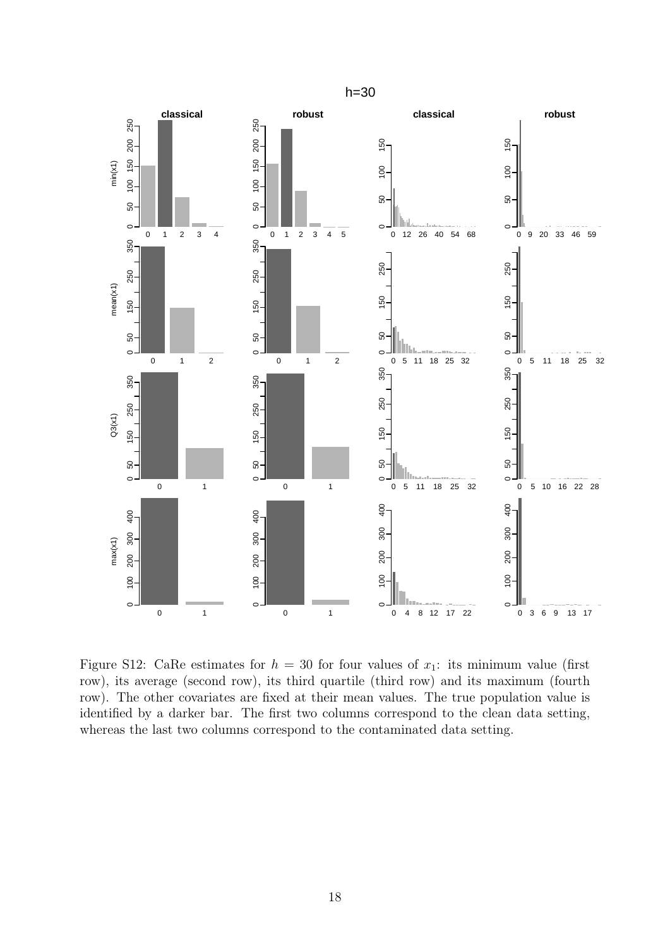

Figure S12: CaRe estimates for  $h = 30$  for four values of  $x_1$ : its minimum value (first row), its average (second row), its third quartile (third row) and its maximum (fourth row). The other covariates are fixed at their mean values. The true population value is identified by a darker bar. The first two columns correspond to the clean data setting, whereas the last two columns correspond to the contaminated data setting.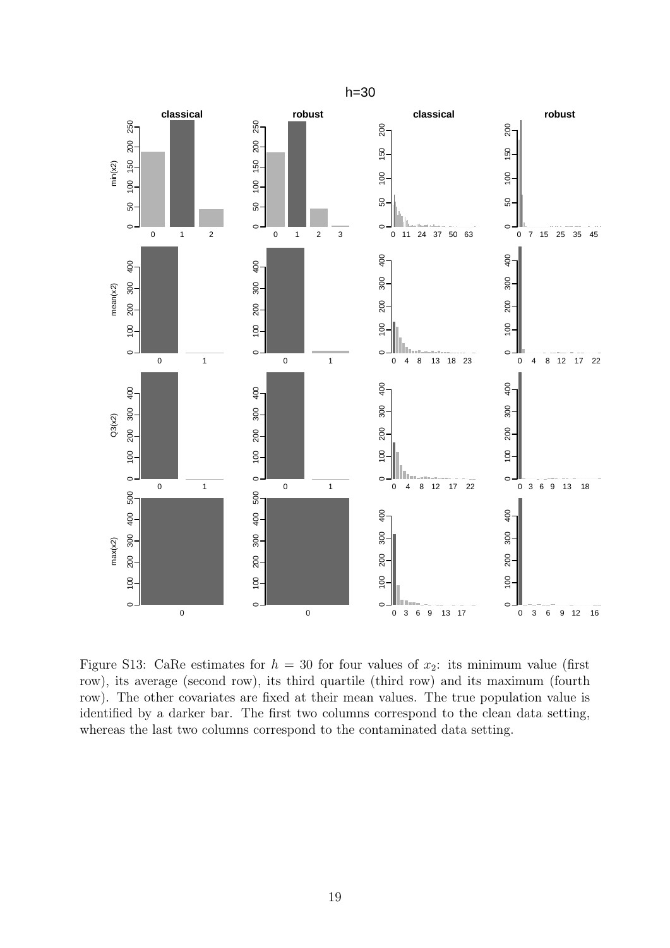

Figure S13: CaRe estimates for  $h = 30$  for four values of  $x_2$ : its minimum value (first row), its average (second row), its third quartile (third row) and its maximum (fourth row). The other covariates are fixed at their mean values. The true population value is identified by a darker bar. The first two columns correspond to the clean data setting, whereas the last two columns correspond to the contaminated data setting.